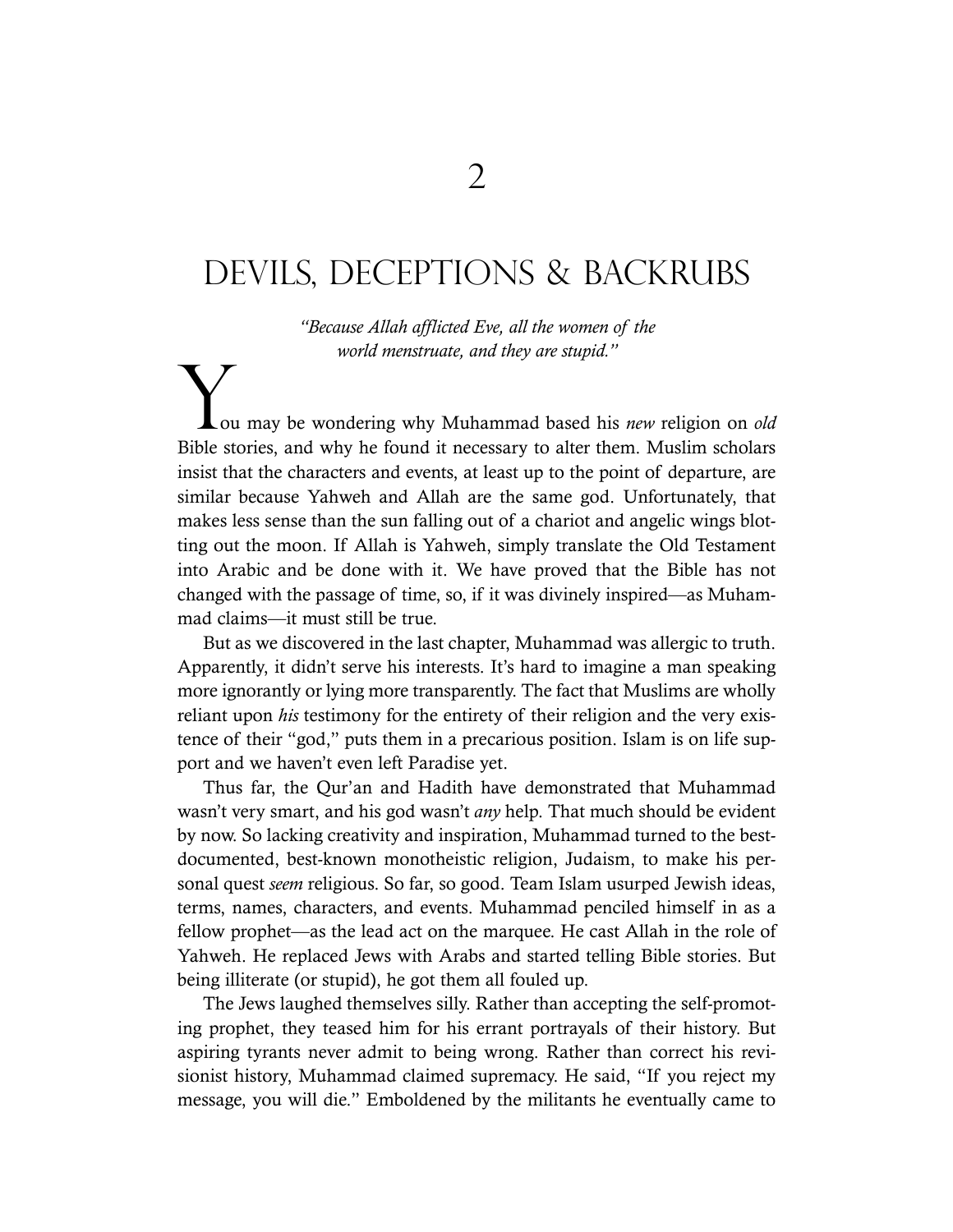## DEVILS, DECEPTIONS & backrubs

*"Because Allah afflicted Eve, all the women of the world menstruate, and they are stupid."*

Lou may be wondering why Muhammad based his *new* religion on *old* Bible stories, and why he found it necessary to alter them. Muslim scholars insist that the characters and events, at least up to the point of departure, are similar because Yahweh and Allah are the same god. Unfortunately, that makes less sense than the sun falling out of a chariot and angelic wings blotting out the moon. If Allah is Yahweh, simply translate the Old Testament into Arabic and be done with it. We have proved that the Bible has not changed with the passage of time, so, if it was divinely inspired—as Muhammad claims—it must still be true.

But as we discovered in the last chapter, Muhammad was allergic to truth. Apparently, it didn't serve his interests. It's hard to imagine a man speaking more ignorantly or lying more transparently. The fact that Muslims are wholly reliant upon *his* testimony for the entirety of their religion and the very existence of their "god," puts them in a precarious position. Islam is on life support and we haven't even left Paradise yet.

Thus far, the Qur'an and Hadith have demonstrated that Muhammad wasn't very smart, and his god wasn't *any* help. That much should be evident by now. So lacking creativity and inspiration, Muhammad turned to the bestdocumented, best-known monotheistic religion, Judaism, to make his personal quest *seem* religious. So far, so good. Team Islam usurped Jewish ideas, terms, names, characters, and events. Muhammad penciled himself in as a fellow prophet—as the lead act on the marquee. He cast Allah in the role of Yahweh. He replaced Jews with Arabs and started telling Bible stories. But being illiterate (or stupid), he got them all fouled up.

The Jews laughed themselves silly. Rather than accepting the self-promoting prophet, they teased him for his errant portrayals of their history. But aspiring tyrants never admit to being wrong. Rather than correct his revisionist history, Muhammad claimed supremacy. He said, "If you reject my message, you will die." Emboldened by the militants he eventually came to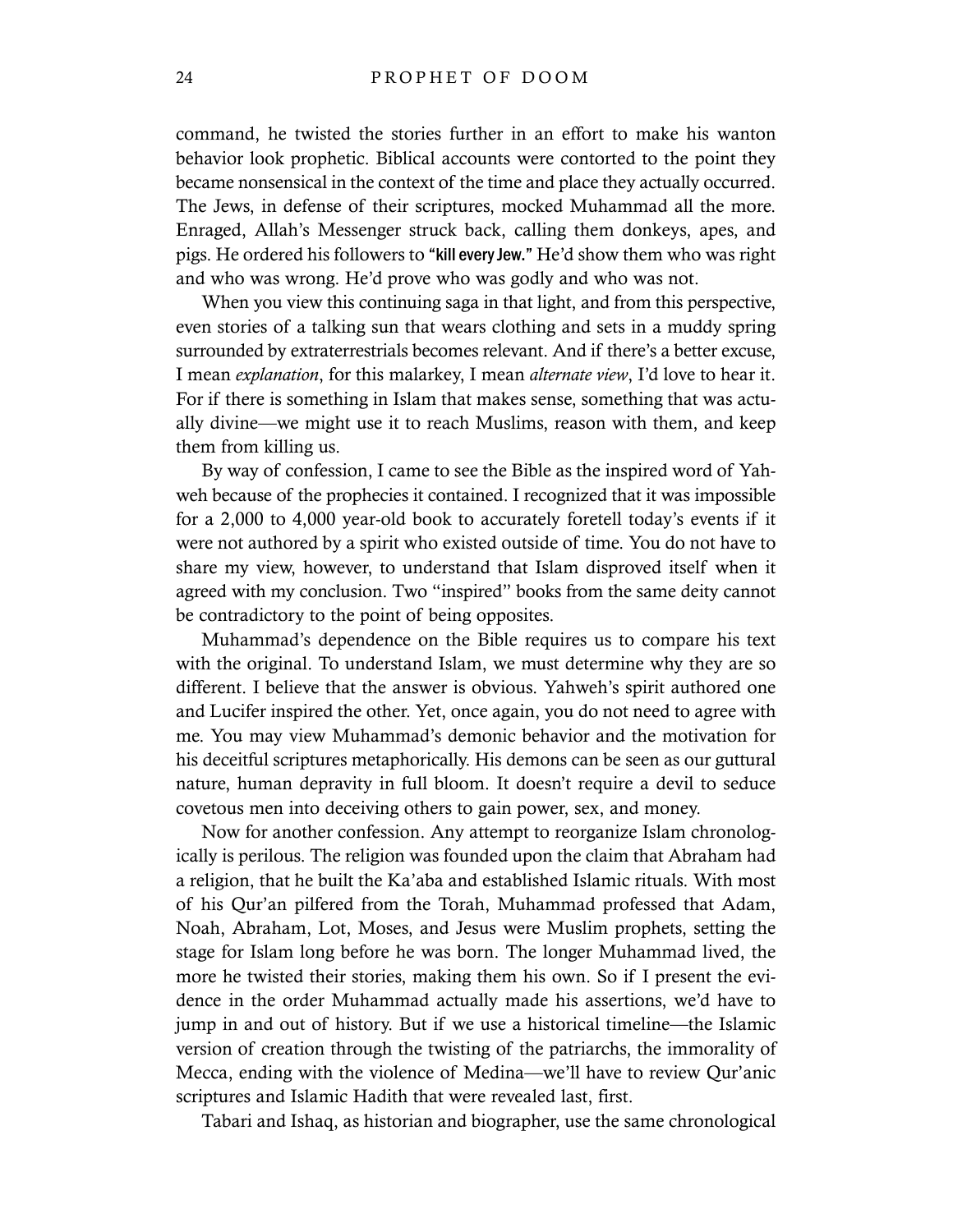command, he twisted the stories further in an effort to make his wanton behavior look prophetic. Biblical accounts were contorted to the point they became nonsensical in the context of the time and place they actually occurred. The Jews, in defense of their scriptures, mocked Muhammad all the more. Enraged, Allah's Messenger struck back, calling them donkeys, apes, and pigs. He ordered his followers to "kill every Jew." He'd show them who was right and who was wrong. He'd prove who was godly and who was not.

When you view this continuing saga in that light, and from this perspective, even stories of a talking sun that wears clothing and sets in a muddy spring surrounded by extraterrestrials becomes relevant. And if there's a better excuse, I mean *explanation*, for this malarkey, I mean *alternate view*, I'd love to hear it. For if there is something in Islam that makes sense, something that was actually divine—we might use it to reach Muslims, reason with them, and keep them from killing us.

By way of confession, I came to see the Bible as the inspired word of Yahweh because of the prophecies it contained. I recognized that it was impossible for a 2,000 to 4,000 year-old book to accurately foretell today's events if it were not authored by a spirit who existed outside of time. You do not have to share my view, however, to understand that Islam disproved itself when it agreed with my conclusion. Two "inspired" books from the same deity cannot be contradictory to the point of being opposites.

Muhammad's dependence on the Bible requires us to compare his text with the original. To understand Islam, we must determine why they are so different. I believe that the answer is obvious. Yahweh's spirit authored one and Lucifer inspired the other. Yet, once again, you do not need to agree with me. You may view Muhammad's demonic behavior and the motivation for his deceitful scriptures metaphorically. His demons can be seen as our guttural nature, human depravity in full bloom. It doesn't require a devil to seduce covetous men into deceiving others to gain power, sex, and money.

Now for another confession. Any attempt to reorganize Islam chronologically is perilous. The religion was founded upon the claim that Abraham had a religion, that he built the Ka'aba and established Islamic rituals. With most of his Qur'an pilfered from the Torah, Muhammad professed that Adam, Noah, Abraham, Lot, Moses, and Jesus were Muslim prophets, setting the stage for Islam long before he was born. The longer Muhammad lived, the more he twisted their stories, making them his own. So if I present the evidence in the order Muhammad actually made his assertions, we'd have to jump in and out of history. But if we use a historical timeline—the Islamic version of creation through the twisting of the patriarchs, the immorality of Mecca, ending with the violence of Medina—we'll have to review Qur'anic scriptures and Islamic Hadith that were revealed last, first.

Tabari and Ishaq, as historian and biographer, use the same chronological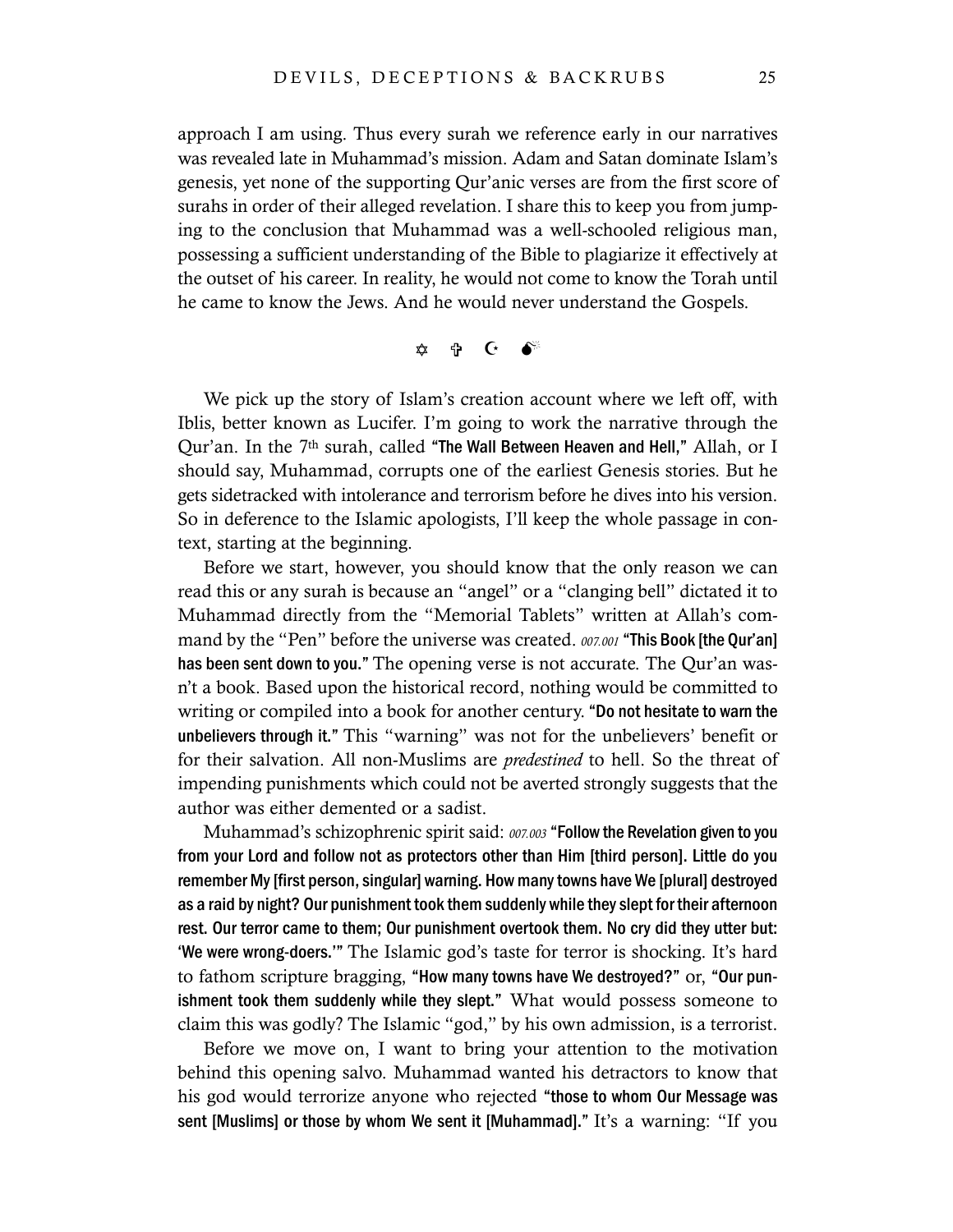approach I am using. Thus every surah we reference early in our narratives was revealed late in Muhammad's mission. Adam and Satan dominate Islam's genesis, yet none of the supporting Qur'anic verses are from the first score of surahs in order of their alleged revelation. I share this to keep you from jumping to the conclusion that Muhammad was a well-schooled religious man, possessing a sufficient understanding of the Bible to plagiarize it effectively at the outset of his career. In reality, he would not come to know the Torah until he came to know the Jews. And he would never understand the Gospels.

 $\hat{\mathbf{x}}$   $\oplus$   $\mathbf{C}$   $\bullet$ 

We pick up the story of Islam's creation account where we left off, with Iblis, better known as Lucifer. I'm going to work the narrative through the Qur'an. In the 7<sup>th</sup> surah, called "The Wall Between Heaven and Hell," Allah, or I should say, Muhammad, corrupts one of the earliest Genesis stories. But he gets sidetracked with intolerance and terrorism before he dives into his version. So in deference to the Islamic apologists, I'll keep the whole passage in context, starting at the beginning.

Before we start, however, you should know that the only reason we can read this or any surah is because an "angel" or a "clanging bell" dictated it to Muhammad directly from the "Memorial Tablets" written at Allah's command by the "Pen" before the universe was created. *007.001* "This Book [the Qur'an] has been sent down to you." The opening verse is not accurate. The Qur'an wasn't a book. Based upon the historical record, nothing would be committed to writing or compiled into a book for another century. "Do not hesitate to warn the unbelievers through it." This "warning" was not for the unbelievers' benefit or for their salvation. All non-Muslims are *predestined* to hell. So the threat of impending punishments which could not be averted strongly suggests that the author was either demented or a sadist.

Muhammad's schizophrenic spirit said: *007.003* "Follow the Revelation given to you from your Lord and follow not as protectors other than Him [third person]. Little do you remember My [first person, singular] warning. How many towns have We [plural] destroyed as a raid by night? Our punishment took them suddenly while they slept for their afternoon rest. Our terror came to them; Our punishment overtook them. No cry did they utter but: 'We were wrong-doers.'" The Islamic god's taste for terror is shocking. It's hard to fathom scripture bragging, "How many towns have We destroyed?" or, "Our punishment took them suddenly while they slept." What would possess someone to claim this was godly? The Islamic "god," by his own admission, is a terrorist.

Before we move on, I want to bring your attention to the motivation behind this opening salvo. Muhammad wanted his detractors to know that his god would terrorize anyone who rejected "those to whom Our Message was sent [Muslims] or those by whom We sent it [Muhammad]." It's a warning: "If you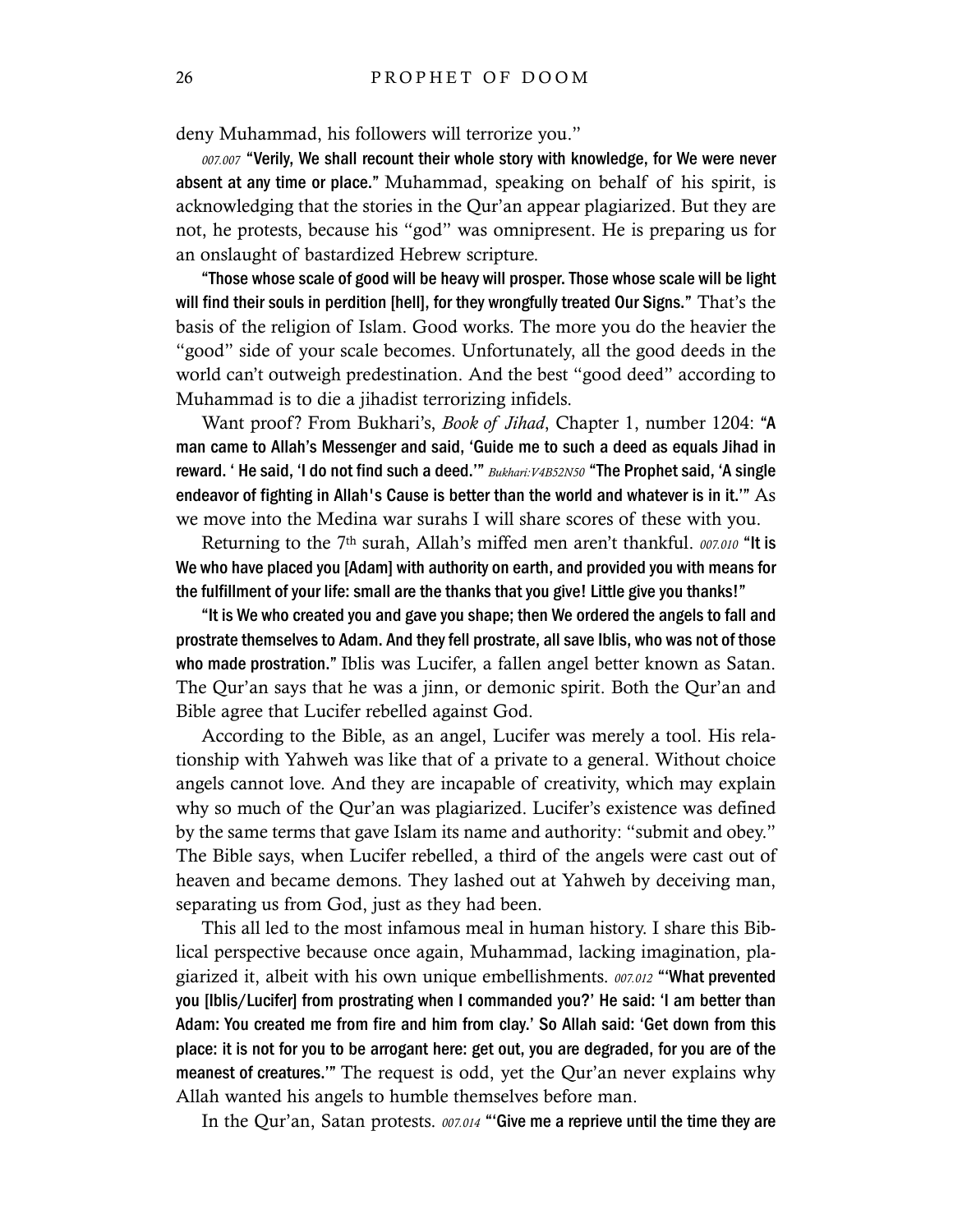deny Muhammad, his followers will terrorize you."

*007.007* "Verily, We shall recount their whole story with knowledge, for We were never absent at any time or place." Muhammad, speaking on behalf of his spirit, is acknowledging that the stories in the Qur'an appear plagiarized. But they are not, he protests, because his "god" was omnipresent. He is preparing us for an onslaught of bastardized Hebrew scripture.

"Those whose scale of good will be heavy will prosper. Those whose scale will be light will find their souls in perdition [hell], for they wrongfully treated Our Signs." That's the basis of the religion of Islam. Good works. The more you do the heavier the "good" side of your scale becomes. Unfortunately, all the good deeds in the world can't outweigh predestination. And the best "good deed" according to Muhammad is to die a jihadist terrorizing infidels.

Want proof? From Bukhari's, *Book of Jihad*, Chapter 1, number 1204: "A man came to Allah's Messenger and said, 'Guide me to such a deed as equals Jihad in reward. 'He said, 'I do not find such a deed.'" *Bukhari:V4B52N50* "The Prophet said, 'A single endeavor of fighting in Allah's Cause is better than the world and whatever is in it.'" As we move into the Medina war surahs I will share scores of these with you.

Returning to the 7<sup>th</sup> surah, Allah's miffed men aren't thankful. *007.010* "It is We who have placed you [Adam] with authority on earth, and provided you with means for the fulfillment of your life: small are the thanks that you give! Little give you thanks!"

"It is We who created you and gave you shape; then We ordered the angels to fall and prostrate themselves to Adam. And they fell prostrate, all save Iblis, who was not of those who made prostration." Iblis was Lucifer, a fallen angel better known as Satan. The Qur'an says that he was a jinn, or demonic spirit. Both the Qur'an and Bible agree that Lucifer rebelled against God.

According to the Bible, as an angel, Lucifer was merely a tool. His relationship with Yahweh was like that of a private to a general. Without choice angels cannot love. And they are incapable of creativity, which may explain why so much of the Qur'an was plagiarized. Lucifer's existence was defined by the same terms that gave Islam its name and authority: "submit and obey." The Bible says, when Lucifer rebelled, a third of the angels were cast out of heaven and became demons. They lashed out at Yahweh by deceiving man, separating us from God, just as they had been.

This all led to the most infamous meal in human history. I share this Biblical perspective because once again, Muhammad, lacking imagination, plagiarized it, albeit with his own unique embellishments. *007.012* "'What prevented you [Iblis/Lucifer] from prostrating when I commanded you?' He said: 'I am better than Adam: You created me from fire and him from clay.' So Allah said: 'Get down from this place: it is not for you to be arrogant here: get out, you are degraded, for you are of the meanest of creatures.'" The request is odd, yet the Qur'an never explains why Allah wanted his angels to humble themselves before man.

In the Qur'an, Satan protests. 007.014 "Give me a reprieve until the time they are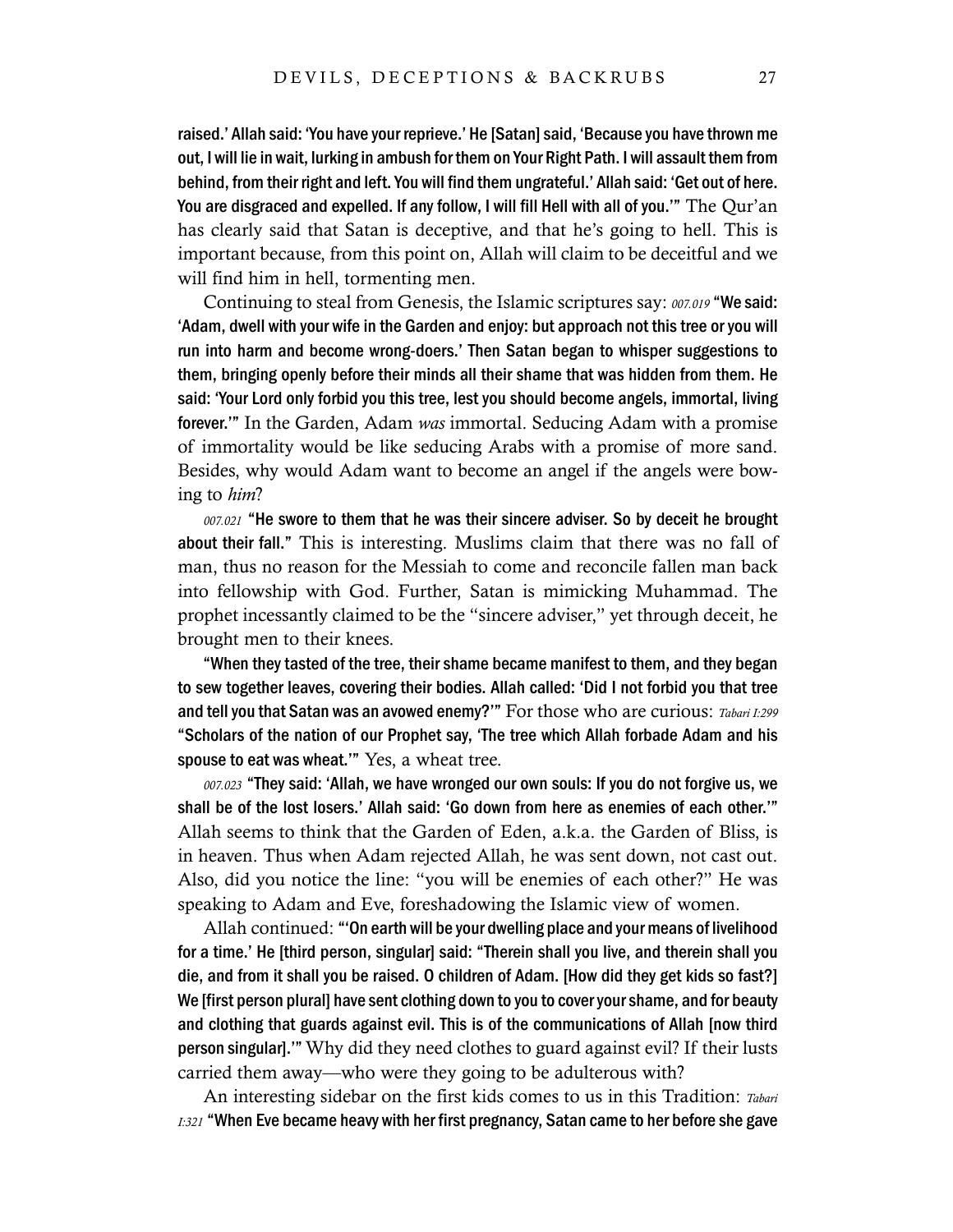raised.' Allah said: 'You have your reprieve.' He [Satan] said, 'Because you have thrown me out, I will lie in wait, lurking in ambush for them on Your Right Path. I will assault them from behind, from their right and left. You will find them ungrateful.' Allah said: 'Get out of here. You are disgraced and expelled. If any follow, I will fill Hell with all of you.'" The Qur'an has clearly said that Satan is deceptive, and that he's going to hell. This is important because, from this point on, Allah will claim to be deceitful and we will find him in hell, tormenting men.

Continuing to steal from Genesis, the Islamic scriptures say: *007.019* "We said: 'Adam, dwell with your wife in the Garden and enjoy: but approach not this tree or you will run into harm and become wrong-doers.' Then Satan began to whisper suggestions to them, bringing openly before their minds all their shame that was hidden from them. He said: 'Your Lord only forbid you this tree, lest you should become angels, immortal, living forever.'" In the Garden, Adam *was* immortal. Seducing Adam with a promise of immortality would be like seducing Arabs with a promise of more sand. Besides, why would Adam want to become an angel if the angels were bowing to *him*?

*007.021* "He swore to them that he was their sincere adviser. So by deceit he brought about their fall." This is interesting. Muslims claim that there was no fall of man, thus no reason for the Messiah to come and reconcile fallen man back into fellowship with God. Further, Satan is mimicking Muhammad. The prophet incessantly claimed to be the "sincere adviser," yet through deceit, he brought men to their knees.

"When they tasted of the tree, their shame became manifest to them, and they began to sew together leaves, covering their bodies. Allah called: 'Did I not forbid you that tree and tell you that Satan was an avowed enemy?'" For those who are curious: *Tabari I:299* "Scholars of the nation of our Prophet say, 'The tree which Allah forbade Adam and his spouse to eat was wheat." Yes, a wheat tree.

*007.023* "They said: 'Allah, we have wronged our own souls: If you do not forgive us, we shall be of the lost losers.' Allah said: 'Go down from here as enemies of each other.'" Allah seems to think that the Garden of Eden, a.k.a. the Garden of Bliss, is in heaven. Thus when Adam rejected Allah, he was sent down, not cast out. Also, did you notice the line: "you will be enemies of each other?" He was speaking to Adam and Eve, foreshadowing the Islamic view of women.

Allah continued: "'On earth will be your dwelling place and your means of livelihood for a time.' He [third person, singular] said: "Therein shall you live, and therein shall you die, and from it shall you be raised. O children of Adam. [How did they get kids so fast?] We [first person plural] have sent clothing down to you to cover your shame, and for beauty and clothing that guards against evil. This is of the communications of Allah [now third person singular].'" Why did they need clothes to guard against evil? If their lusts carried them away—who were they going to be adulterous with?

An interesting sidebar on the first kids comes to us in this Tradition: *Tabari I:321* "When Eve became heavy with her first pregnancy, Satan came to her before she gave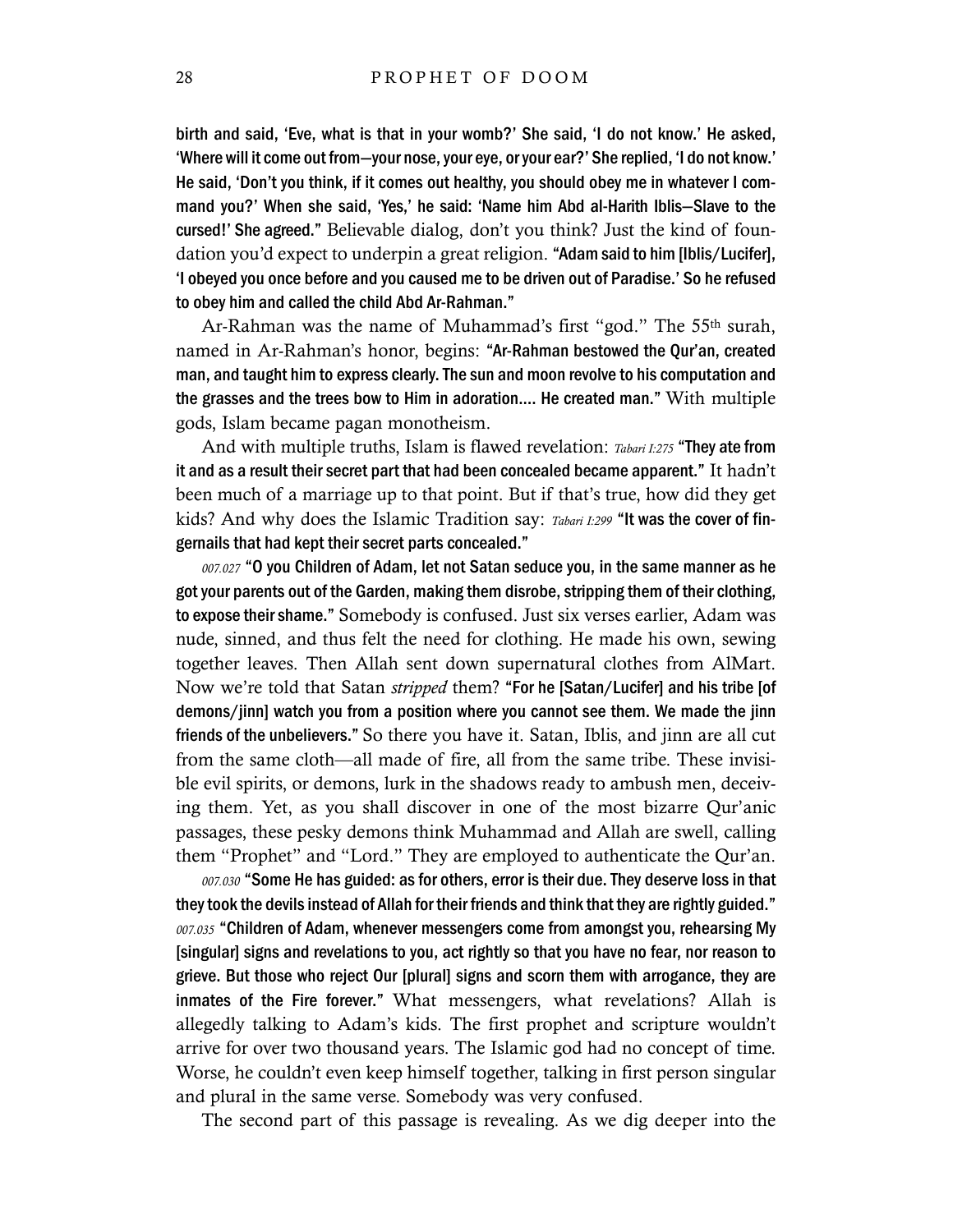birth and said, 'Eve, what is that in your womb?' She said, 'I do not know.' He asked, 'Where will it come out from—your nose, your eye, or your ear?' She replied, 'I do not know.' He said, 'Don't you think, if it comes out healthy, you should obey me in whatever I command you?' When she said, 'Yes,' he said: 'Name him Abd al-Harith Iblis—Slave to the cursed!' She agreed." Believable dialog, don't you think? Just the kind of foundation you'd expect to underpin a great religion. "Adam said to him [Iblis/Lucifer], 'I obeyed you once before and you caused me to be driven out of Paradise.' So he refused to obey him and called the child Abd Ar-Rahman."

Ar-Rahman was the name of Muhammad's first "god." The 55th surah, named in Ar-Rahman's honor, begins: "Ar-Rahman bestowed the Qur'an, created man, and taught him to express clearly. The sun and moon revolve to his computation and the grasses and the trees bow to Him in adoration.… He created man." With multiple gods, Islam became pagan monotheism.

And with multiple truths, Islam is flawed revelation: *Tabari I:275* "They ate from it and as a result their secret part that had been concealed became apparent." It hadn't been much of a marriage up to that point. But if that's true, how did they get kids? And why does the Islamic Tradition say: *Tabari I:299* "It was the cover of fingernails that had kept their secret parts concealed."

*007.027* "O you Children of Adam, let not Satan seduce you, in the same manner as he got your parents out of the Garden, making them disrobe, stripping them of their clothing, to expose their shame." Somebody is confused. Just six verses earlier, Adam was nude, sinned, and thus felt the need for clothing. He made his own, sewing together leaves. Then Allah sent down supernatural clothes from AlMart. Now we're told that Satan *stripped* them? "For he [Satan/Lucifer] and his tribe [of demons/jinn] watch you from a position where you cannot see them. We made the jinn friends of the unbelievers." So there you have it. Satan, Iblis, and jinn are all cut from the same cloth—all made of fire, all from the same tribe. These invisible evil spirits, or demons, lurk in the shadows ready to ambush men, deceiving them. Yet, as you shall discover in one of the most bizarre Qur'anic passages, these pesky demons think Muhammad and Allah are swell, calling them "Prophet" and "Lord." They are employed to authenticate the Qur'an.

*007.030* "Some He has guided: as for others, error is their due. They deserve loss in that they took the devils instead of Allah for their friends and think that they are rightly guided." *007.035* "Children of Adam, whenever messengers come from amongst you, rehearsing My [singular] signs and revelations to you, act rightly so that you have no fear, nor reason to grieve. But those who reject Our [plural] signs and scorn them with arrogance, they are inmates of the Fire forever." What messengers, what revelations? Allah is allegedly talking to Adam's kids. The first prophet and scripture wouldn't arrive for over two thousand years. The Islamic god had no concept of time. Worse, he couldn't even keep himself together, talking in first person singular and plural in the same verse. Somebody was very confused.

The second part of this passage is revealing. As we dig deeper into the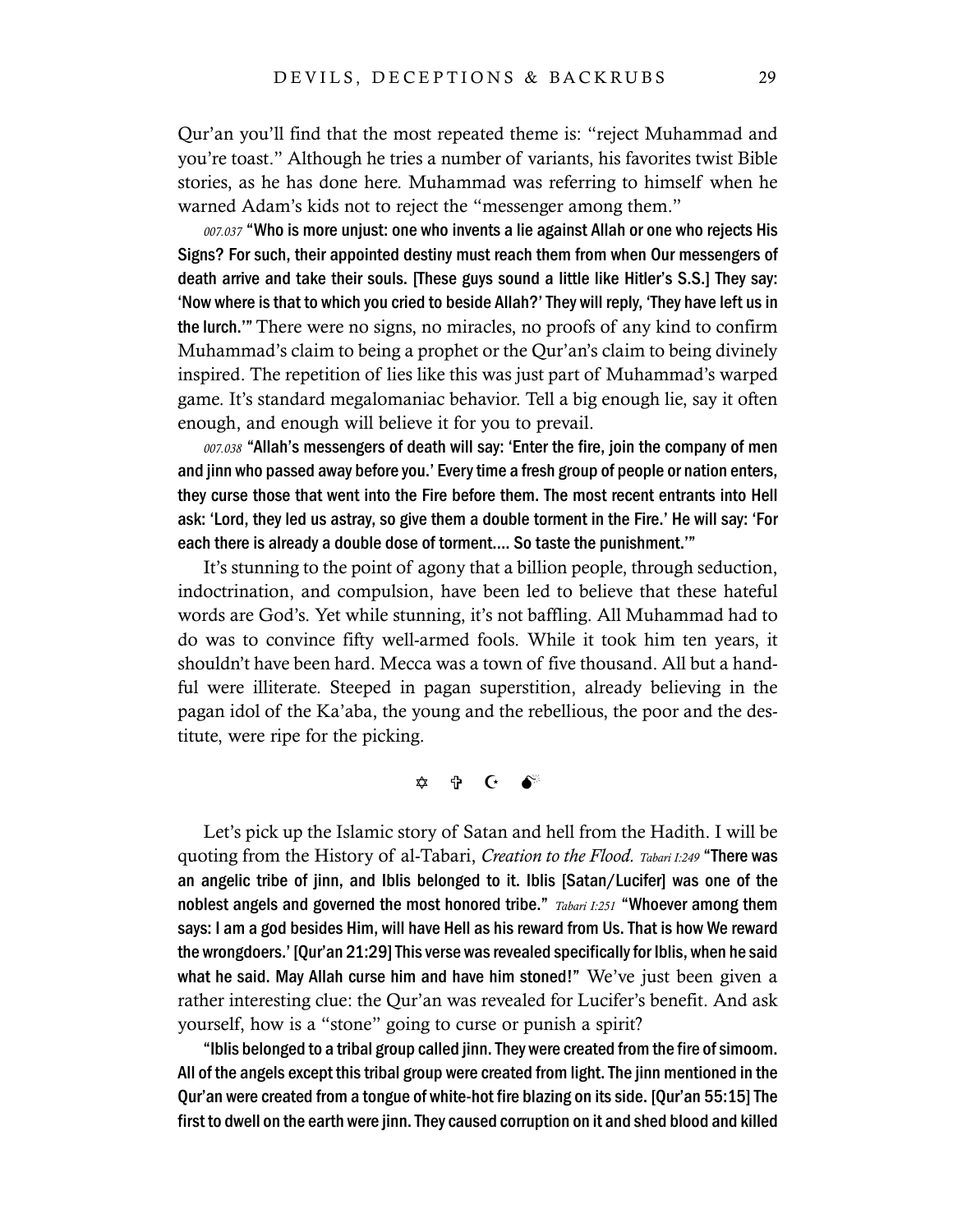Qur'an you'll find that the most repeated theme is: "reject Muhammad and you're toast." Although he tries a number of variants, his favorites twist Bible stories, as he has done here. Muhammad was referring to himself when he warned Adam's kids not to reject the "messenger among them."

*007.037* "Who is more unjust: one who invents a lie against Allah or one who rejects His Signs? For such, their appointed destiny must reach them from when Our messengers of death arrive and take their souls. [These guys sound a little like Hitler's S.S.] They say: 'Now where is that to which you cried to beside Allah?' They will reply, 'They have left us in the lurch.'" There were no signs, no miracles, no proofs of any kind to confirm Muhammad's claim to being a prophet or the Qur'an's claim to being divinely inspired. The repetition of lies like this was just part of Muhammad's warped game. It's standard megalomaniac behavior. Tell a big enough lie, say it often enough, and enough will believe it for you to prevail.

*007.038* "Allah's messengers of death will say: 'Enter the fire, join the company of men and jinn who passed away before you.' Every time a fresh group of people or nation enters, they curse those that went into the Fire before them. The most recent entrants into Hell ask: 'Lord, they led us astray, so give them a double torment in the Fire.' He will say: 'For each there is already a double dose of torment…. So taste the punishment.'"

It's stunning to the point of agony that a billion people, through seduction, indoctrination, and compulsion, have been led to believe that these hateful words are God's. Yet while stunning, it's not baffling. All Muhammad had to do was to convince fifty well-armed fools. While it took him ten years, it shouldn't have been hard. Mecca was a town of five thousand. All but a handful were illiterate. Steeped in pagan superstition, already believing in the pagan idol of the Ka'aba, the young and the rebellious, the poor and the destitute, were ripe for the picking.

@ = A 0

Let's pick up the Islamic story of Satan and hell from the Hadith. I will be quoting from the History of al-Tabari, *Creation to the Flood. Tabari I:249* "There was an angelic tribe of jinn, and Iblis belonged to it. Iblis [Satan/Lucifer] was one of the noblest angels and governed the most honored tribe." *Tabari I:251* "Whoever among them says: I am a god besides Him, will have Hell as his reward from Us. That is how We reward the wrongdoers.' [Qur'an 21:29] This verse was revealed specifically for Iblis, when he said what he said. May Allah curse him and have him stoned!" We've just been given a rather interesting clue: the Qur'an was revealed for Lucifer's benefit. And ask yourself, how is a "stone" going to curse or punish a spirit?

"Iblis belonged to a tribal group called jinn. They were created from the fire of simoom. All of the angels except this tribal group were created from light. The jinn mentioned in the Qur'an were created from a tongue of white-hot fire blazing on its side. [Qur'an 55:15] The first to dwell on the earth were jinn. They caused corruption on it and shed blood and killed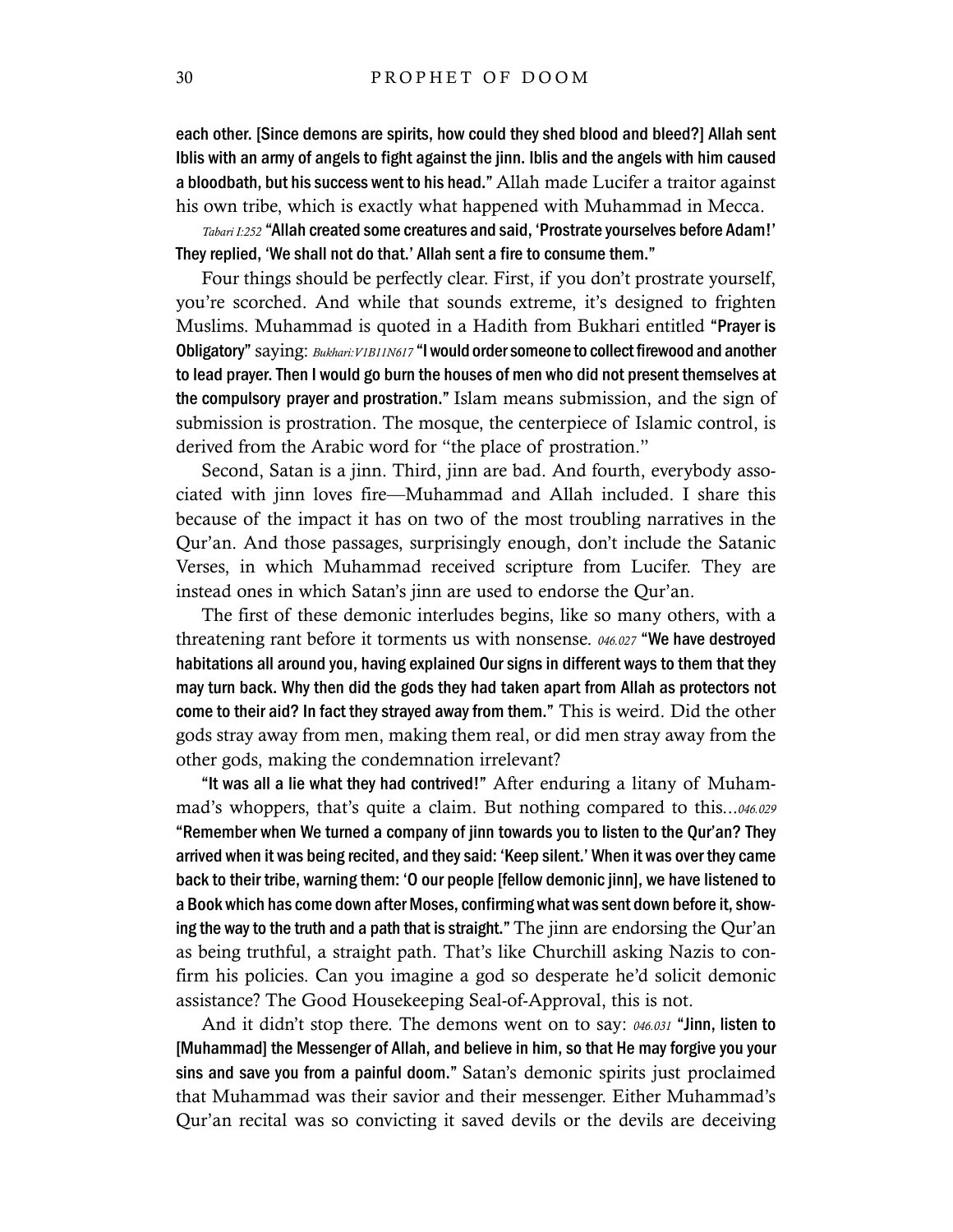each other. [Since demons are spirits, how could they shed blood and bleed?] Allah sent Iblis with an army of angels to fight against the jinn. Iblis and the angels with him caused a bloodbath, but his success went to his head." Allah made Lucifer a traitor against his own tribe, which is exactly what happened with Muhammad in Mecca.

*Tabari I:252* "Allah created some creatures and said, 'Prostrate yourselves before Adam!' They replied, 'We shall not do that.' Allah sent a fire to consume them."

Four things should be perfectly clear. First, if you don't prostrate yourself, you're scorched. And while that sounds extreme, it's designed to frighten Muslims. Muhammad is quoted in a Hadith from Bukhari entitled "Prayer is Obligatory" saying: *Bukhari:V1B11N617* "I would order someone to collect firewood and another to lead prayer. Then I would go burn the houses of men who did not present themselves at the compulsory prayer and prostration." Islam means submission, and the sign of submission is prostration. The mosque, the centerpiece of Islamic control, is derived from the Arabic word for "the place of prostration."

Second, Satan is a jinn. Third, jinn are bad. And fourth, everybody associated with jinn loves fire—Muhammad and Allah included. I share this because of the impact it has on two of the most troubling narratives in the Qur'an. And those passages, surprisingly enough, don't include the Satanic Verses, in which Muhammad received scripture from Lucifer. They are instead ones in which Satan's jinn are used to endorse the Qur'an.

The first of these demonic interludes begins, like so many others, with a threatening rant before it torments us with nonsense. *046.027* "We have destroyed habitations all around you, having explained Our signs in different ways to them that they may turn back. Why then did the gods they had taken apart from Allah as protectors not come to their aid? In fact they strayed away from them." This is weird. Did the other gods stray away from men, making them real, or did men stray away from the other gods, making the condemnation irrelevant?

"It was all a lie what they had contrived!" After enduring a litany of Muhammad's whoppers, that's quite a claim. But nothing compared to this...*046.029* "Remember when We turned a company of jinn towards you to listen to the Qur'an? They arrived when it was being recited, and they said: 'Keep silent.' When it was over they came back to their tribe, warning them: 'O our people [fellow demonic jinn], we have listened to a Book which has come down after Moses, confirming what was sent down before it, showing the way to the truth and a path that is straight." The jinn are endorsing the Qur'an as being truthful, a straight path. That's like Churchill asking Nazis to confirm his policies. Can you imagine a god so desperate he'd solicit demonic assistance? The Good Housekeeping Seal-of-Approval, this is not.

And it didn't stop there. The demons went on to say: *046.031* "Jinn, listen to [Muhammad] the Messenger of Allah, and believe in him, so that He may forgive you your sins and save you from a painful doom." Satan's demonic spirits just proclaimed that Muhammad was their savior and their messenger. Either Muhammad's Qur'an recital was so convicting it saved devils or the devils are deceiving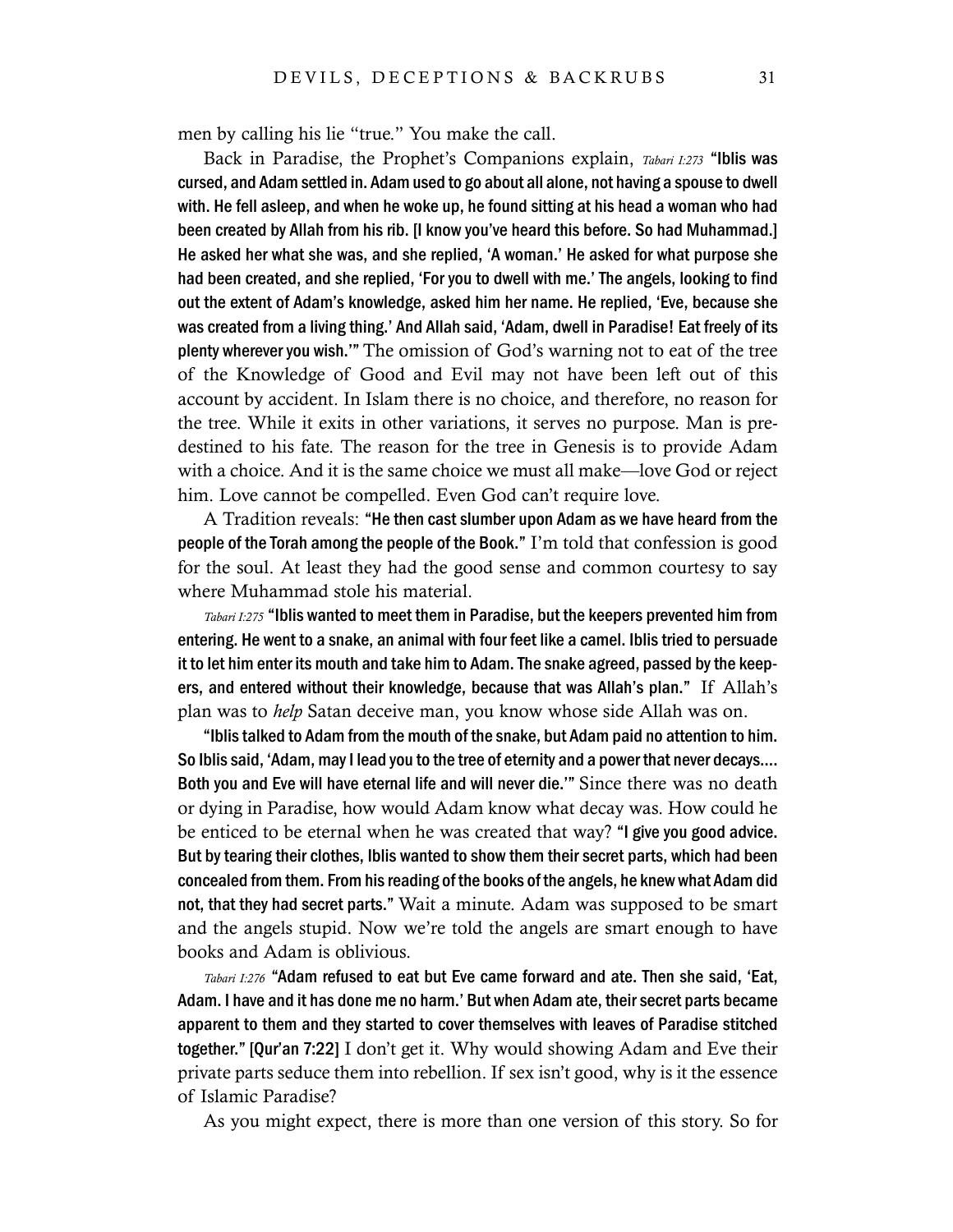men by calling his lie "true." You make the call.

Back in Paradise, the Prophet's Companions explain, *Tabari I:273* "Iblis was cursed, and Adam settled in. Adam used to go about all alone, not having a spouse to dwell with. He fell asleep, and when he woke up, he found sitting at his head a woman who had been created by Allah from his rib. [I know you've heard this before. So had Muhammad.] He asked her what she was, and she replied, 'A woman.' He asked for what purpose she had been created, and she replied, 'For you to dwell with me.' The angels, looking to find out the extent of Adam's knowledge, asked him her name. He replied, 'Eve, because she was created from a living thing.' And Allah said, 'Adam, dwell in Paradise! Eat freely of its plenty wherever you wish.'" The omission of God's warning not to eat of the tree of the Knowledge of Good and Evil may not have been left out of this account by accident. In Islam there is no choice, and therefore, no reason for the tree. While it exits in other variations, it serves no purpose. Man is predestined to his fate. The reason for the tree in Genesis is to provide Adam with a choice. And it is the same choice we must all make—love God or reject him. Love cannot be compelled. Even God can't require love.

A Tradition reveals: "He then cast slumber upon Adam as we have heard from the people of the Torah among the people of the Book." I'm told that confession is good for the soul. At least they had the good sense and common courtesy to say where Muhammad stole his material.

*Tabari I:275* "Iblis wanted to meet them in Paradise, but the keepers prevented him from entering. He went to a snake, an animal with four feet like a camel. Iblis tried to persuade it to let him enter its mouth and take him to Adam. The snake agreed, passed by the keepers, and entered without their knowledge, because that was Allah's plan." If Allah's plan was to *help* Satan deceive man, you know whose side Allah was on.

"Iblis talked to Adam from the mouth of the snake, but Adam paid no attention to him. So Iblis said, 'Adam, may I lead you to the tree of eternity and a power that never decays…. Both you and Eve will have eternal life and will never die.'" Since there was no death or dying in Paradise, how would Adam know what decay was. How could he be enticed to be eternal when he was created that way? "I give you good advice. But by tearing their clothes, Iblis wanted to show them their secret parts, which had been concealed from them. From his reading of the books of the angels, he knew what Adam did not, that they had secret parts." Wait a minute. Adam was supposed to be smart and the angels stupid. Now we're told the angels are smart enough to have books and Adam is oblivious.

*Tabari I:276* "Adam refused to eat but Eve came forward and ate. Then she said, 'Eat, Adam. I have and it has done me no harm.' But when Adam ate, their secret parts became apparent to them and they started to cover themselves with leaves of Paradise stitched together." [Qur'an 7:22] I don't get it. Why would showing Adam and Eve their private parts seduce them into rebellion. If sex isn't good, why is it the essence of Islamic Paradise?

As you might expect, there is more than one version of this story. So for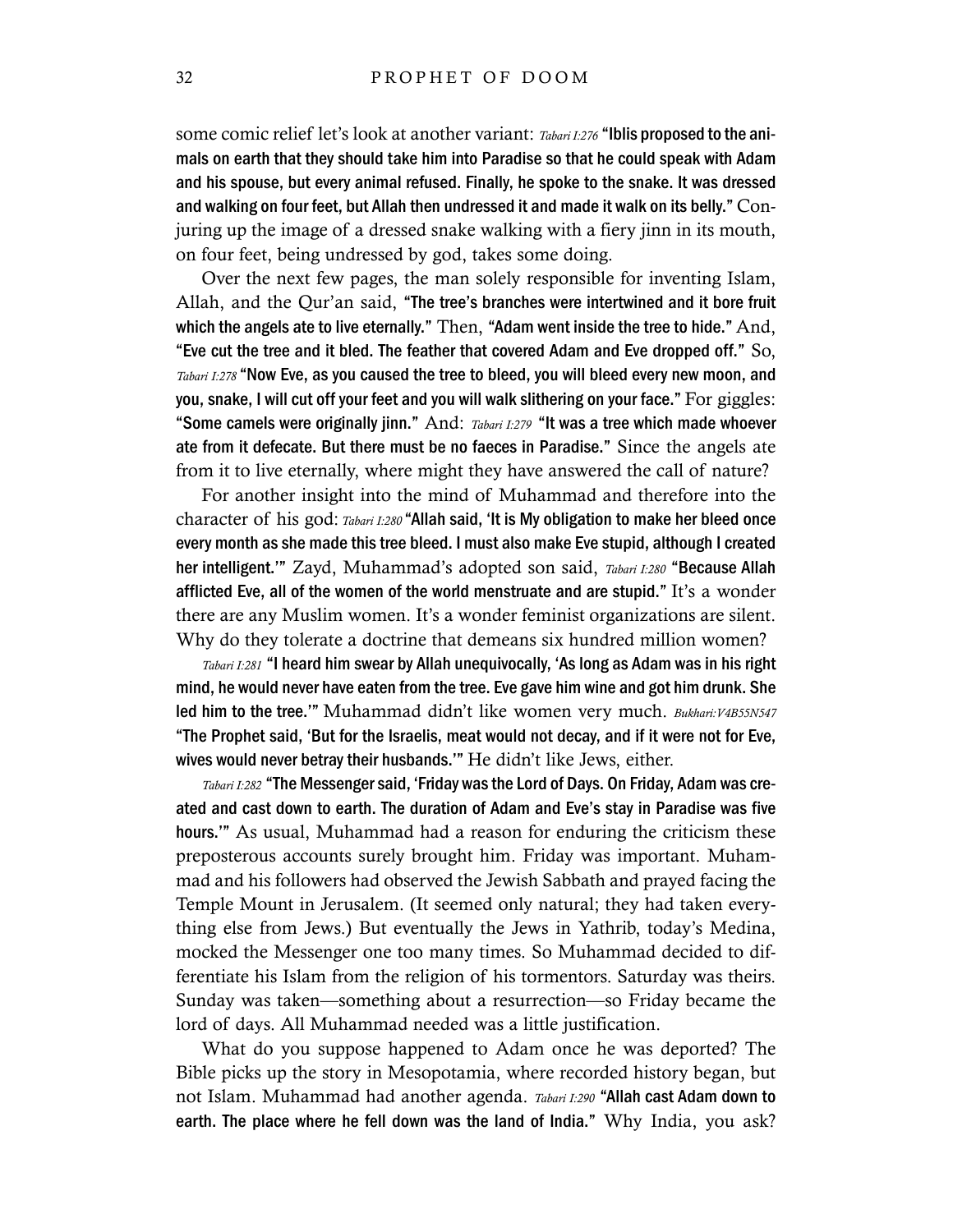some comic relief let's look at another variant: *Tabari I:276* "Iblis proposed to the animals on earth that they should take him into Paradise so that he could speak with Adam and his spouse, but every animal refused. Finally, he spoke to the snake. It was dressed and walking on four feet, but Allah then undressed it and made it walk on its belly." Conjuring up the image of a dressed snake walking with a fiery jinn in its mouth, on four feet, being undressed by god, takes some doing.

Over the next few pages, the man solely responsible for inventing Islam, Allah, and the Qur'an said, "The tree's branches were intertwined and it bore fruit which the angels ate to live eternally." Then, "Adam went inside the tree to hide." And, "Eve cut the tree and it bled. The feather that covered Adam and Eve dropped off." So, *Tabari I:278* "Now Eve, as you caused the tree to bleed, you will bleed every new moon, and you, snake, I will cut off your feet and you will walk slithering on your face." For giggles: "Some camels were originally jinn." And: *Tabari I:279* "It was a tree which made whoever ate from it defecate. But there must be no faeces in Paradise." Since the angels ate from it to live eternally, where might they have answered the call of nature?

For another insight into the mind of Muhammad and therefore into the character of his god: *Tabari I:280* "Allah said, 'It is My obligation to make her bleed once every month as she made this tree bleed. I must also make Eve stupid, although I created her intelligent.'" Zayd, Muhammad's adopted son said, *Tabari I:280* "Because Allah afflicted Eve, all of the women of the world menstruate and are stupid." It's a wonder there are any Muslim women. It's a wonder feminist organizations are silent. Why do they tolerate a doctrine that demeans six hundred million women?

*Tabari I:281* "I heard him swear by Allah unequivocally, 'As long as Adam was in his right mind, he would never have eaten from the tree. Eve gave him wine and got him drunk. She led him to the tree." Muhammad didn't like women very much. *Bukhari:V4B55N547* "The Prophet said, 'But for the Israelis, meat would not decay, and if it were not for Eve, wives would never betray their husbands.'" He didn't like Jews, either.

*Tabari I:282* "The Messenger said, 'Friday was the Lord of Days. On Friday, Adam was created and cast down to earth. The duration of Adam and Eve's stay in Paradise was five hours.'" As usual, Muhammad had a reason for enduring the criticism these preposterous accounts surely brought him. Friday was important. Muhammad and his followers had observed the Jewish Sabbath and prayed facing the Temple Mount in Jerusalem. (It seemed only natural; they had taken everything else from Jews.) But eventually the Jews in Yathrib, today's Medina, mocked the Messenger one too many times. So Muhammad decided to differentiate his Islam from the religion of his tormentors. Saturday was theirs. Sunday was taken—something about a resurrection—so Friday became the lord of days. All Muhammad needed was a little justification.

What do you suppose happened to Adam once he was deported? The Bible picks up the story in Mesopotamia, where recorded history began, but not Islam. Muhammad had another agenda. *Tabari I:290* "Allah cast Adam down to earth. The place where he fell down was the land of India." Why India, you ask?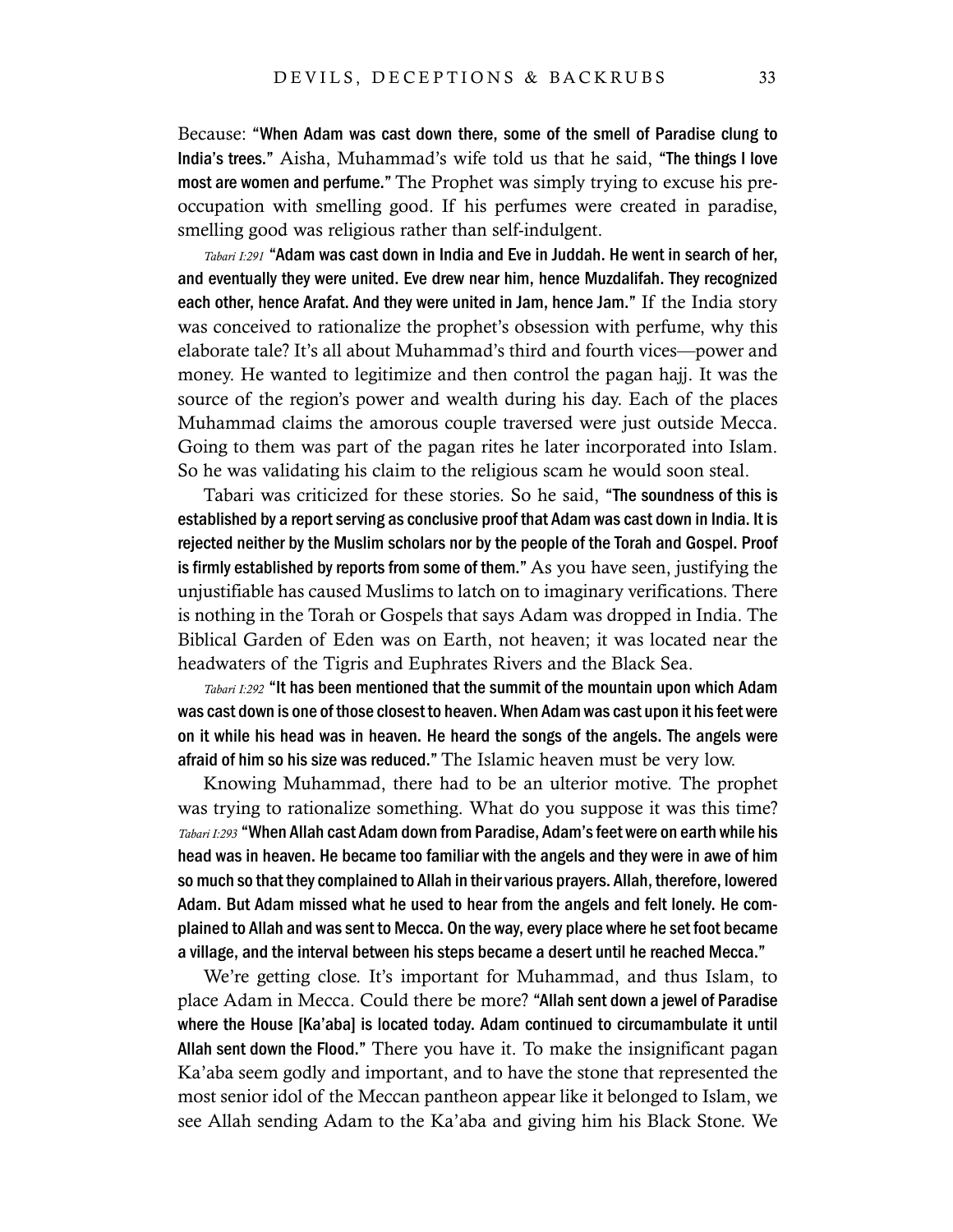Because: "When Adam was cast down there, some of the smell of Paradise clung to India's trees." Aisha, Muhammad's wife told us that he said, "The things I love most are women and perfume." The Prophet was simply trying to excuse his preoccupation with smelling good. If his perfumes were created in paradise, smelling good was religious rather than self-indulgent.

*Tabari I:291* "Adam was cast down in India and Eve in Juddah. He went in search of her, and eventually they were united. Eve drew near him, hence Muzdalifah. They recognized each other, hence Arafat. And they were united in Jam, hence Jam." If the India story was conceived to rationalize the prophet's obsession with perfume, why this elaborate tale? It's all about Muhammad's third and fourth vices—power and money. He wanted to legitimize and then control the pagan hajj. It was the source of the region's power and wealth during his day. Each of the places Muhammad claims the amorous couple traversed were just outside Mecca. Going to them was part of the pagan rites he later incorporated into Islam. So he was validating his claim to the religious scam he would soon steal.

Tabari was criticized for these stories. So he said, "The soundness of this is established by a report serving as conclusive proof that Adam was cast down in India. It is rejected neither by the Muslim scholars nor by the people of the Torah and Gospel. Proof is firmly established by reports from some of them." As you have seen, justifying the unjustifiable has caused Muslims to latch on to imaginary verifications. There is nothing in the Torah or Gospels that says Adam was dropped in India. The Biblical Garden of Eden was on Earth, not heaven; it was located near the headwaters of the Tigris and Euphrates Rivers and the Black Sea.

*Tabari I:292* "It has been mentioned that the summit of the mountain upon which Adam was cast down is one of those closest to heaven. When Adam was cast upon it his feet were on it while his head was in heaven. He heard the songs of the angels. The angels were afraid of him so his size was reduced." The Islamic heaven must be very low.

Knowing Muhammad, there had to be an ulterior motive. The prophet was trying to rationalize something. What do you suppose it was this time? *Tabari I:293* "When Allah cast Adam down from Paradise, Adam's feet were on earth while his head was in heaven. He became too familiar with the angels and they were in awe of him so much so that they complained to Allah in their various prayers. Allah, therefore, lowered Adam. But Adam missed what he used to hear from the angels and felt lonely. He complained to Allah and was sent to Mecca. On the way, every place where he set foot became a village, and the interval between his steps became a desert until he reached Mecca."

We're getting close. It's important for Muhammad, and thus Islam, to place Adam in Mecca. Could there be more? "Allah sent down a jewel of Paradise where the House [Ka'aba] is located today. Adam continued to circumambulate it until Allah sent down the Flood." There you have it. To make the insignificant pagan Ka'aba seem godly and important, and to have the stone that represented the most senior idol of the Meccan pantheon appear like it belonged to Islam, we see Allah sending Adam to the Ka'aba and giving him his Black Stone. We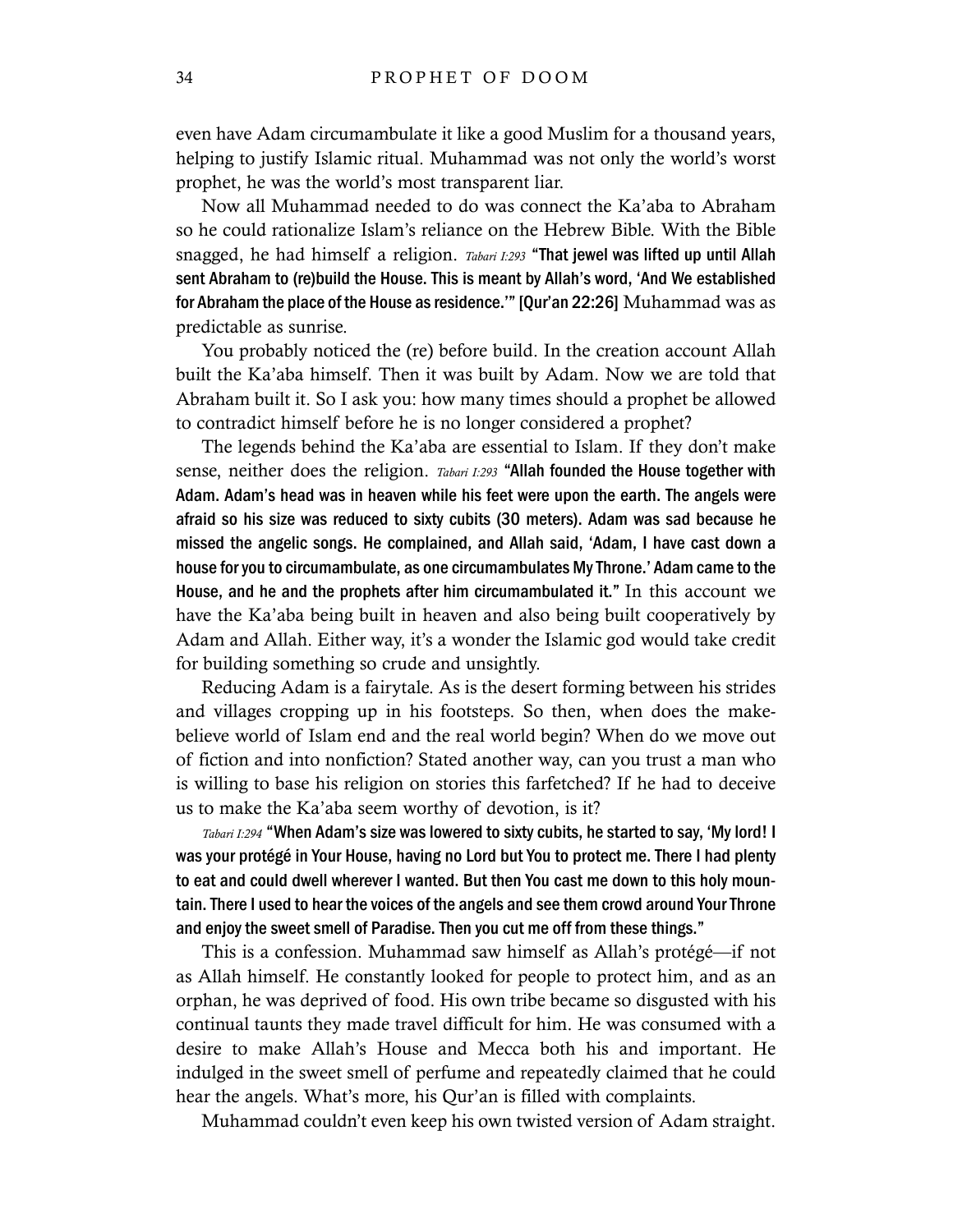even have Adam circumambulate it like a good Muslim for a thousand years, helping to justify Islamic ritual. Muhammad was not only the world's worst prophet, he was the world's most transparent liar.

Now all Muhammad needed to do was connect the Ka'aba to Abraham so he could rationalize Islam's reliance on the Hebrew Bible. With the Bible snagged, he had himself a religion. *Tabari I:293* "That jewel was lifted up until Allah sent Abraham to (re)build the House. This is meant by Allah's word, 'And We established for Abraham the place of the House as residence.'" [Qur'an 22:26] Muhammad was as predictable as sunrise.

You probably noticed the (re) before build. In the creation account Allah built the Ka'aba himself. Then it was built by Adam. Now we are told that Abraham built it. So I ask you: how many times should a prophet be allowed to contradict himself before he is no longer considered a prophet?

The legends behind the Ka'aba are essential to Islam. If they don't make sense, neither does the religion. *Tabari I:293* "Allah founded the House together with Adam. Adam's head was in heaven while his feet were upon the earth. The angels were afraid so his size was reduced to sixty cubits (30 meters). Adam was sad because he missed the angelic songs. He complained, and Allah said, 'Adam, I have cast down a house for you to circumambulate, as one circumambulates My Throne.' Adam came to the House, and he and the prophets after him circumambulated it." In this account we have the Ka'aba being built in heaven and also being built cooperatively by Adam and Allah. Either way, it's a wonder the Islamic god would take credit for building something so crude and unsightly.

Reducing Adam is a fairytale. As is the desert forming between his strides and villages cropping up in his footsteps. So then, when does the makebelieve world of Islam end and the real world begin? When do we move out of fiction and into nonfiction? Stated another way, can you trust a man who is willing to base his religion on stories this farfetched? If he had to deceive us to make the Ka'aba seem worthy of devotion, is it?

*Tabari I:294* "When Adam's size was lowered to sixty cubits, he started to say, 'My lord! I was your protégé in Your House, having no Lord but You to protect me. There I had plenty to eat and could dwell wherever I wanted. But then You cast me down to this holy mountain. There I used to hear the voices of the angels and see them crowd around Your Throne and enjoy the sweet smell of Paradise. Then you cut me off from these things."

This is a confession. Muhammad saw himself as Allah's protégé—if not as Allah himself. He constantly looked for people to protect him, and as an orphan, he was deprived of food. His own tribe became so disgusted with his continual taunts they made travel difficult for him. He was consumed with a desire to make Allah's House and Mecca both his and important. He indulged in the sweet smell of perfume and repeatedly claimed that he could hear the angels. What's more, his Qur'an is filled with complaints.

Muhammad couldn't even keep his own twisted version of Adam straight.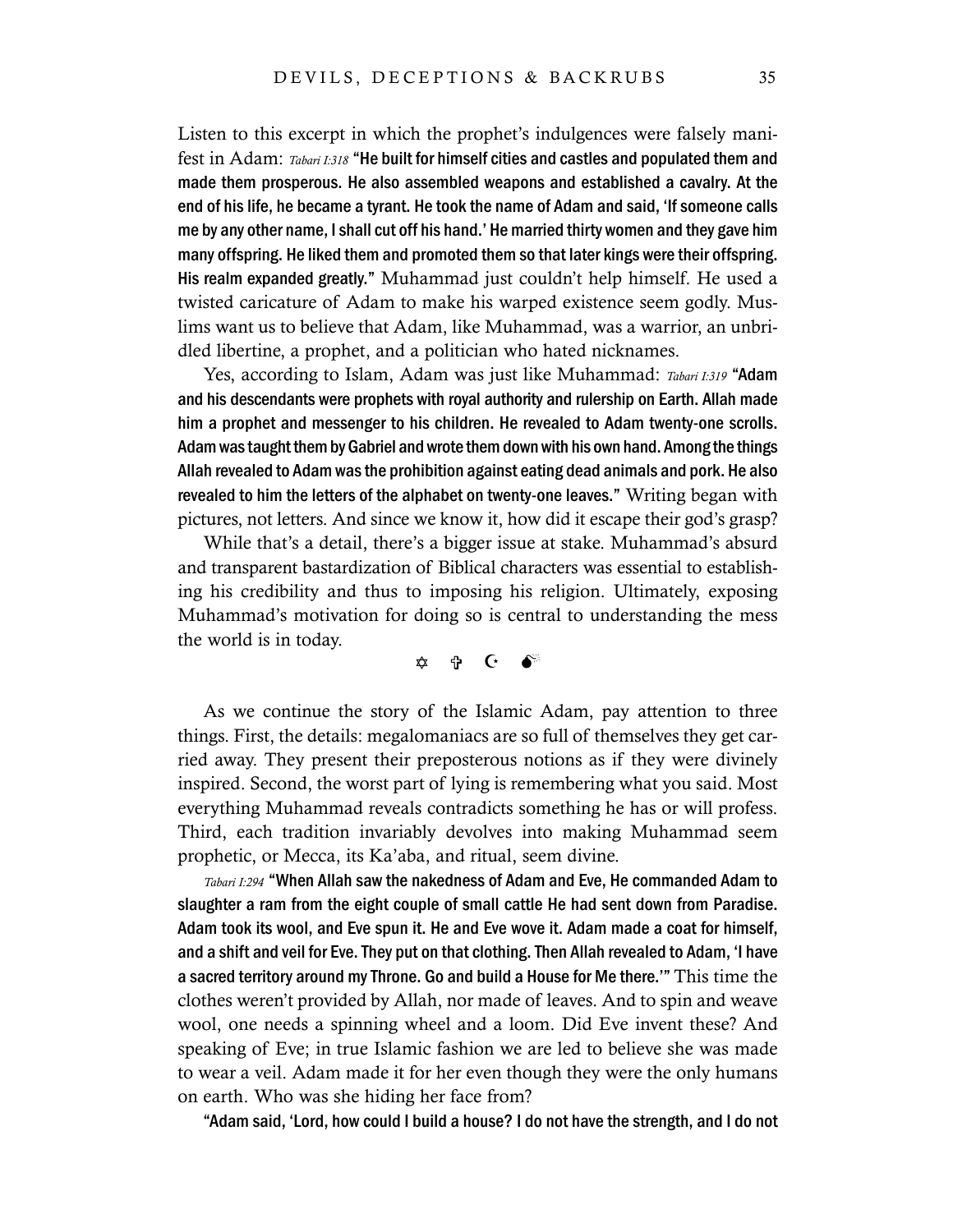Listen to this excerpt in which the prophet's indulgences were falsely manifest in Adam: *Tabari I:318* "He built for himself cities and castles and populated them and made them prosperous. He also assembled weapons and established a cavalry. At the end of his life, he became a tyrant. He took the name of Adam and said, 'If someone calls me by any other name, I shall cut off his hand.' He married thirty women and they gave him many offspring. He liked them and promoted them so that later kings were their offspring. His realm expanded greatly." Muhammad just couldn't help himself. He used a twisted caricature of Adam to make his warped existence seem godly. Muslims want us to believe that Adam, like Muhammad, was a warrior, an unbridled libertine, a prophet, and a politician who hated nicknames.

Yes, according to Islam, Adam was just like Muhammad: *Tabari I:319* "Adam and his descendants were prophets with royal authority and rulership on Earth. Allah made him a prophet and messenger to his children. He revealed to Adam twenty-one scrolls. Adam was taught them by Gabriel and wrote them down with his own hand. Among the things Allah revealed to Adam was the prohibition against eating dead animals and pork. He also revealed to him the letters of the alphabet on twenty-one leaves." Writing began with pictures, not letters. And since we know it, how did it escape their god's grasp?

While that's a detail, there's a bigger issue at stake. Muhammad's absurd and transparent bastardization of Biblical characters was essential to establishing his credibility and thus to imposing his religion. Ultimately, exposing Muhammad's motivation for doing so is central to understanding the mess the world is in today.

## $\mathsf{G}\mathsf{F}$

As we continue the story of the Islamic Adam, pay attention to three things. First, the details: megalomaniacs are so full of themselves they get carried away. They present their preposterous notions as if they were divinely inspired. Second, the worst part of lying is remembering what you said. Most everything Muhammad reveals contradicts something he has or will profess. Third, each tradition invariably devolves into making Muhammad seem prophetic, or Mecca, its Ka'aba, and ritual, seem divine.

*Tabari I:294* "When Allah saw the nakedness of Adam and Eve, He commanded Adam to slaughter a ram from the eight couple of small cattle He had sent down from Paradise. Adam took its wool, and Eve spun it. He and Eve wove it. Adam made a coat for himself, and a shift and veil for Eve. They put on that clothing. Then Allah revealed to Adam, 'I have a sacred territory around my Throne. Go and build a House for Me there.'" This time the clothes weren't provided by Allah, nor made of leaves. And to spin and weave wool, one needs a spinning wheel and a loom. Did Eve invent these? And speaking of Eve; in true Islamic fashion we are led to believe she was made to wear a veil. Adam made it for her even though they were the only humans on earth. Who was she hiding her face from?

"Adam said, 'Lord, how could I build a house? I do not have the strength, and I do not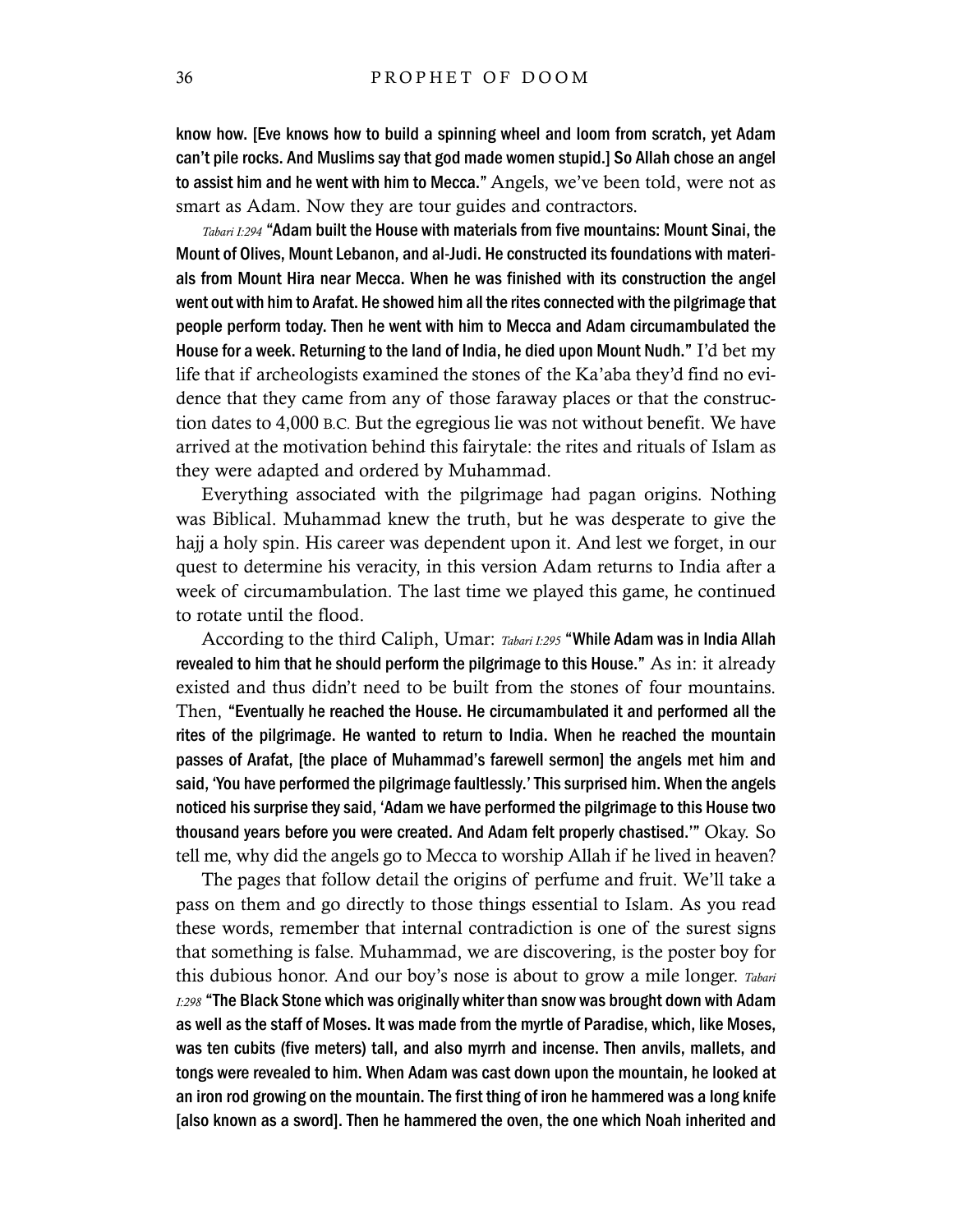know how. [Eve knows how to build a spinning wheel and loom from scratch, yet Adam can't pile rocks. And Muslims say that god made women stupid.] So Allah chose an angel to assist him and he went with him to Mecca." Angels, we've been told, were not as smart as Adam. Now they are tour guides and contractors.

*Tabari I:294* "Adam built the House with materials from five mountains: Mount Sinai, the Mount of Olives, Mount Lebanon, and al-Judi. He constructed its foundations with materials from Mount Hira near Mecca. When he was finished with its construction the angel went out with him to Arafat. He showed him all the rites connected with the pilgrimage that people perform today. Then he went with him to Mecca and Adam circumambulated the House for a week. Returning to the land of India, he died upon Mount Nudh." I'd bet my life that if archeologists examined the stones of the Ka'aba they'd find no evidence that they came from any of those faraway places or that the construction dates to 4,000 B.C. But the egregious lie was not without benefit. We have arrived at the motivation behind this fairytale: the rites and rituals of Islam as they were adapted and ordered by Muhammad.

Everything associated with the pilgrimage had pagan origins. Nothing was Biblical. Muhammad knew the truth, but he was desperate to give the hajj a holy spin. His career was dependent upon it. And lest we forget, in our quest to determine his veracity, in this version Adam returns to India after a week of circumambulation. The last time we played this game, he continued to rotate until the flood.

According to the third Caliph, Umar: *Tabari I:295* "While Adam was in India Allah revealed to him that he should perform the pilgrimage to this House." As in: it already existed and thus didn't need to be built from the stones of four mountains. Then, "Eventually he reached the House. He circumambulated it and performed all the rites of the pilgrimage. He wanted to return to India. When he reached the mountain passes of Arafat, [the place of Muhammad's farewell sermon] the angels met him and said, 'You have performed the pilgrimage faultlessly.' This surprised him. When the angels noticed his surprise they said, 'Adam we have performed the pilgrimage to this House two thousand years before you were created. And Adam felt properly chastised.'" Okay. So tell me, why did the angels go to Mecca to worship Allah if he lived in heaven?

The pages that follow detail the origins of perfume and fruit. We'll take a pass on them and go directly to those things essential to Islam. As you read these words, remember that internal contradiction is one of the surest signs that something is false. Muhammad, we are discovering, is the poster boy for this dubious honor. And our boy's nose is about to grow a mile longer. *Tabari I:298* "The Black Stone which was originally whiter than snow was brought down with Adam as well as the staff of Moses. It was made from the myrtle of Paradise, which, like Moses, was ten cubits (five meters) tall, and also myrrh and incense. Then anvils, mallets, and tongs were revealed to him. When Adam was cast down upon the mountain, he looked at an iron rod growing on the mountain. The first thing of iron he hammered was a long knife [also known as a sword]. Then he hammered the oven, the one which Noah inherited and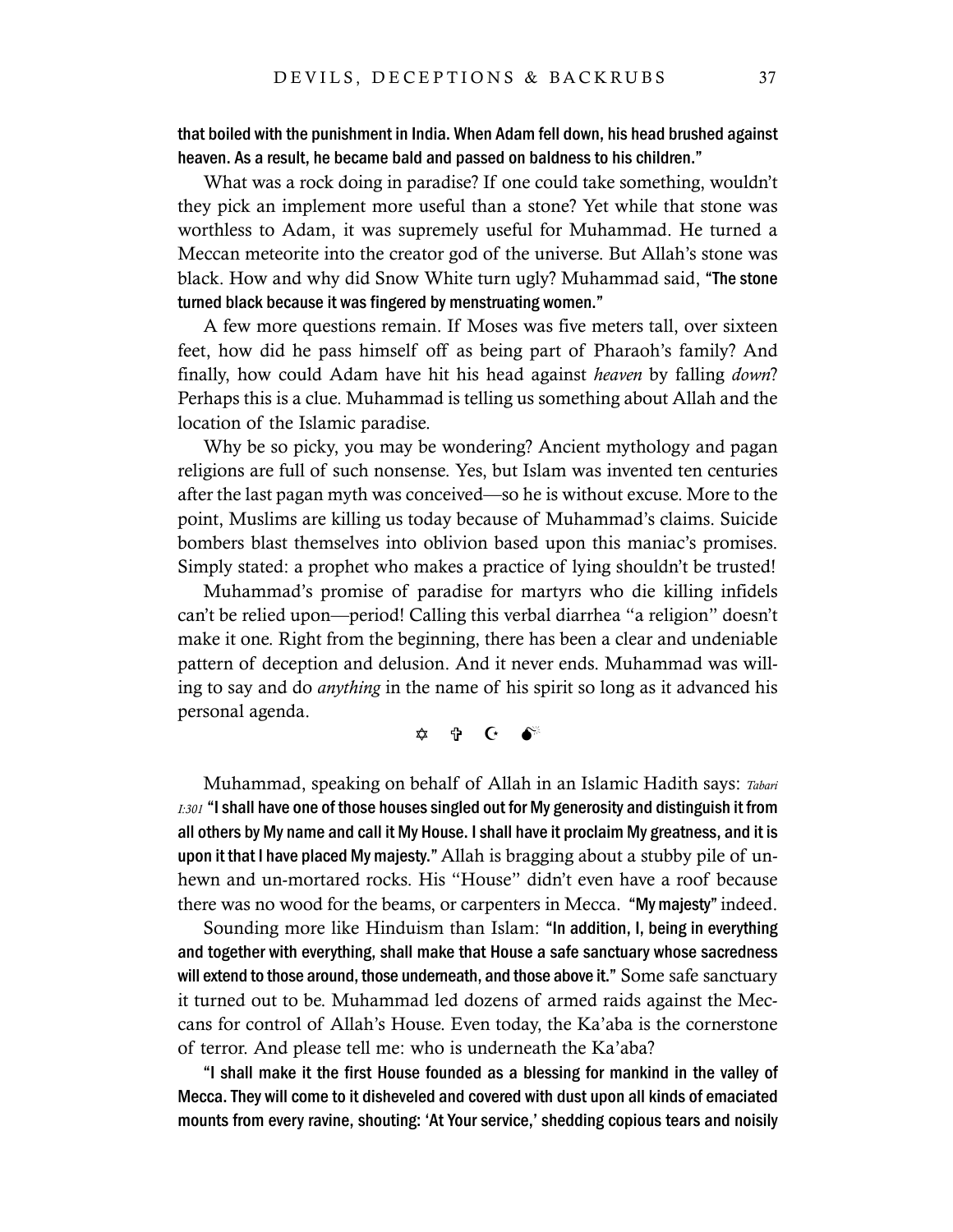that boiled with the punishment in India. When Adam fell down, his head brushed against heaven. As a result, he became bald and passed on baldness to his children."

What was a rock doing in paradise? If one could take something, wouldn't they pick an implement more useful than a stone? Yet while that stone was worthless to Adam, it was supremely useful for Muhammad. He turned a Meccan meteorite into the creator god of the universe. But Allah's stone was black. How and why did Snow White turn ugly? Muhammad said, "The stone turned black because it was fingered by menstruating women."

A few more questions remain. If Moses was five meters tall, over sixteen feet, how did he pass himself off as being part of Pharaoh's family? And finally, how could Adam have hit his head against *heaven* by falling *down*? Perhaps this is a clue. Muhammad is telling us something about Allah and the location of the Islamic paradise.

Why be so picky, you may be wondering? Ancient mythology and pagan religions are full of such nonsense. Yes, but Islam was invented ten centuries after the last pagan myth was conceived—so he is without excuse. More to the point, Muslims are killing us today because of Muhammad's claims. Suicide bombers blast themselves into oblivion based upon this maniac's promises. Simply stated: a prophet who makes a practice of lying shouldn't be trusted!

Muhammad's promise of paradise for martyrs who die killing infidels can't be relied upon—period! Calling this verbal diarrhea "a religion" doesn't make it one. Right from the beginning, there has been a clear and undeniable pattern of deception and delusion. And it never ends. Muhammad was willing to say and do *anything* in the name of his spirit so long as it advanced his personal agenda.

**☆ ☆ (←** 

Muhammad, speaking on behalf of Allah in an Islamic Hadith says: *Tabari I:301* "I shall have one of those houses singled out for My generosity and distinguish it from all others by My name and call it My House. I shall have it proclaim My greatness, and it is upon it that I have placed My majesty." Allah is bragging about a stubby pile of unhewn and un-mortared rocks. His "House" didn't even have a roof because there was no wood for the beams, or carpenters in Mecca. "My majesty" indeed.

Sounding more like Hinduism than Islam: "In addition, I, being in everything and together with everything, shall make that House a safe sanctuary whose sacredness will extend to those around, those underneath, and those above it." Some safe sanctuary it turned out to be. Muhammad led dozens of armed raids against the Meccans for control of Allah's House. Even today, the Ka'aba is the cornerstone of terror. And please tell me: who is underneath the Ka'aba?

"I shall make it the first House founded as a blessing for mankind in the valley of Mecca. They will come to it disheveled and covered with dust upon all kinds of emaciated mounts from every ravine, shouting: 'At Your service,' shedding copious tears and noisily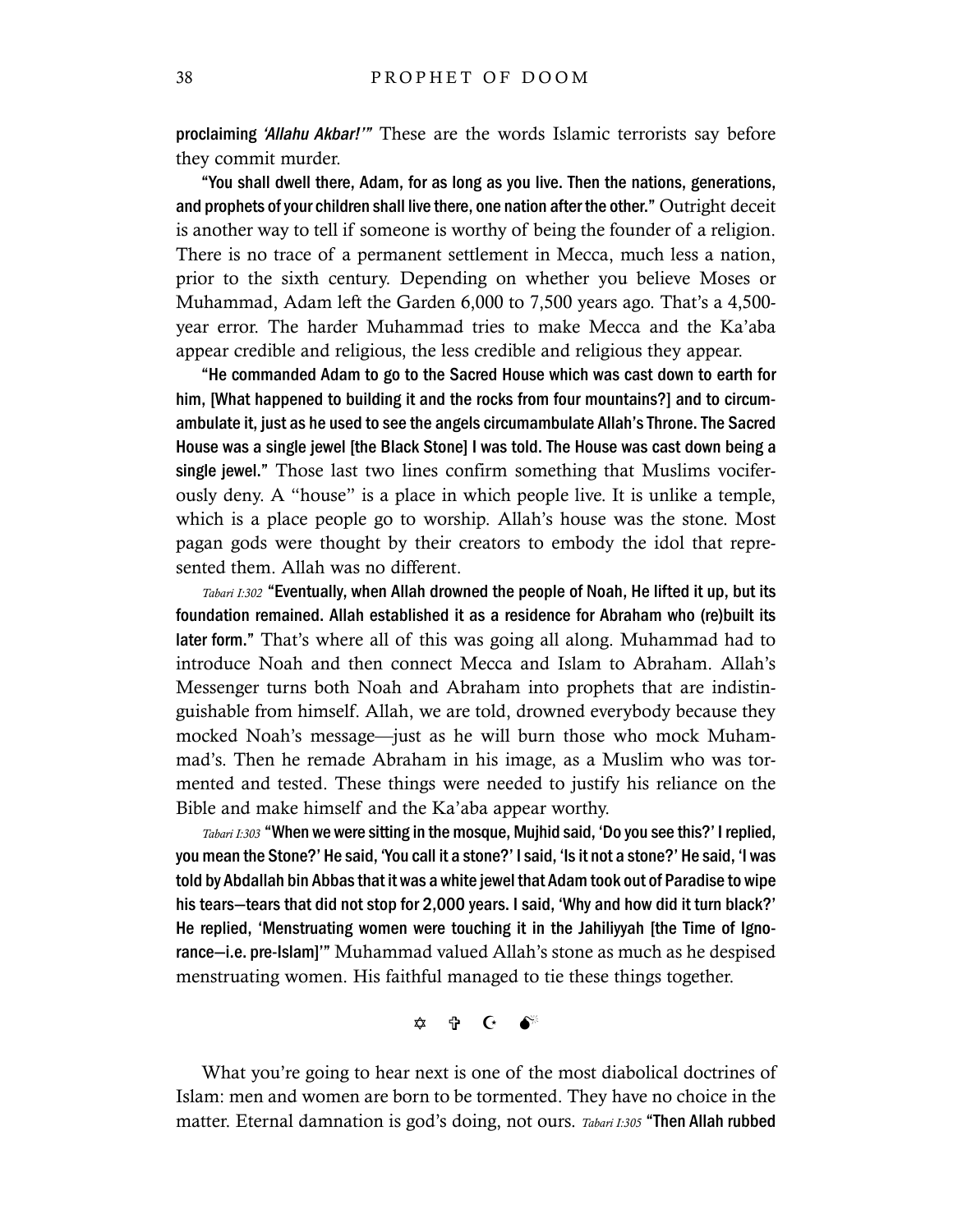proclaiming 'Allahu Akbar!'" These are the words Islamic terrorists say before they commit murder.

"You shall dwell there, Adam, for as long as you live. Then the nations, generations, and prophets of your children shall live there, one nation after the other." Outright deceit is another way to tell if someone is worthy of being the founder of a religion. There is no trace of a permanent settlement in Mecca, much less a nation, prior to the sixth century. Depending on whether you believe Moses or Muhammad, Adam left the Garden 6,000 to 7,500 years ago. That's a 4,500 year error. The harder Muhammad tries to make Mecca and the Ka'aba appear credible and religious, the less credible and religious they appear.

"He commanded Adam to go to the Sacred House which was cast down to earth for him, [What happened to building it and the rocks from four mountains?] and to circumambulate it, just as he used to see the angels circumambulate Allah's Throne. The Sacred House was a single jewel [the Black Stone] I was told. The House was cast down being a single jewel." Those last two lines confirm something that Muslims vociferously deny. A "house" is a place in which people live. It is unlike a temple, which is a place people go to worship. Allah's house was the stone. Most pagan gods were thought by their creators to embody the idol that represented them. Allah was no different.

*Tabari I:302* "Eventually, when Allah drowned the people of Noah, He lifted it up, but its foundation remained. Allah established it as a residence for Abraham who (re)built its later form." That's where all of this was going all along. Muhammad had to introduce Noah and then connect Mecca and Islam to Abraham. Allah's Messenger turns both Noah and Abraham into prophets that are indistinguishable from himself. Allah, we are told, drowned everybody because they mocked Noah's message—just as he will burn those who mock Muhammad's. Then he remade Abraham in his image, as a Muslim who was tormented and tested. These things were needed to justify his reliance on the Bible and make himself and the Ka'aba appear worthy.

*Tabari I:303* "When we were sitting in the mosque, Mujhid said, 'Do you see this?' I replied, you mean the Stone?' He said, 'You call it a stone?' I said, 'Is it not a stone?' He said, 'I was told by Abdallah bin Abbas that it was a white jewel that Adam took out of Paradise to wipe his tears—tears that did not stop for 2,000 years. I said, 'Why and how did it turn black?' He replied, 'Menstruating women were touching it in the Jahiliyyah [the Time of Ignorance—i.e. pre-Islam]'" Muhammad valued Allah's stone as much as he despised menstruating women. His faithful managed to tie these things together.

 $\mathsf{G}\mathsf{F}$ 

What you're going to hear next is one of the most diabolical doctrines of Islam: men and women are born to be tormented. They have no choice in the matter. Eternal damnation is god's doing, not ours. *Tabari I:305* "Then Allah rubbed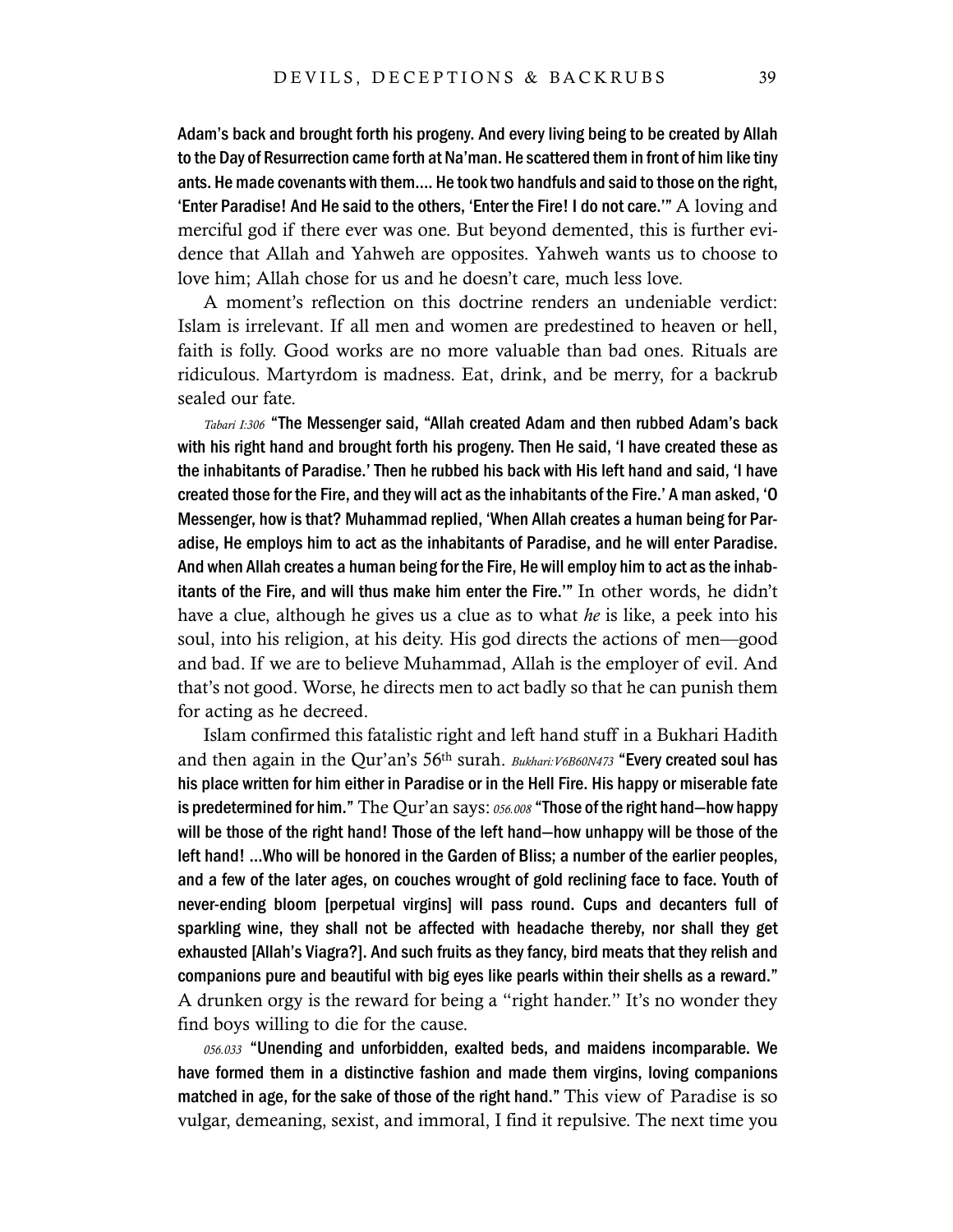Adam's back and brought forth his progeny. And every living being to be created by Allah to the Day of Resurrection came forth at Na'man. He scattered them in front of him like tiny ants. He made covenants with them…. He took two handfuls and said to those on the right, 'Enter Paradise! And He said to the others, 'Enter the Fire! I do not care.'" A loving and merciful god if there ever was one. But beyond demented, this is further evidence that Allah and Yahweh are opposites. Yahweh wants us to choose to love him; Allah chose for us and he doesn't care, much less love.

A moment's reflection on this doctrine renders an undeniable verdict: Islam is irrelevant. If all men and women are predestined to heaven or hell, faith is folly. Good works are no more valuable than bad ones. Rituals are ridiculous. Martyrdom is madness. Eat, drink, and be merry, for a backrub sealed our fate.

*Tabari I:306* "The Messenger said, "Allah created Adam and then rubbed Adam's back with his right hand and brought forth his progeny. Then He said, 'I have created these as the inhabitants of Paradise.' Then he rubbed his back with His left hand and said, 'I have created those for the Fire, and they will act as the inhabitants of the Fire.' A man asked, 'O Messenger, how is that? Muhammad replied, 'When Allah creates a human being for Paradise, He employs him to act as the inhabitants of Paradise, and he will enter Paradise. And when Allah creates a human being for the Fire, He will employ him to act as the inhabitants of the Fire, and will thus make him enter the Fire.'" In other words, he didn't have a clue, although he gives us a clue as to what *he* is like, a peek into his soul, into his religion, at his deity. His god directs the actions of men—good and bad. If we are to believe Muhammad, Allah is the employer of evil. And that's not good. Worse, he directs men to act badly so that he can punish them for acting as he decreed.

Islam confirmed this fatalistic right and left hand stuff in a Bukhari Hadith and then again in the Qur'an's 56<sup>th</sup> surah. *Bukhari:V6B60N473* "Every created soul has his place written for him either in Paradise or in the Hell Fire. His happy or miserable fate is predetermined for him." The Qur'an says: *056.008* "Those of the right hand—how happy will be those of the right hand! Those of the left hand—how unhappy will be those of the left hand! …Who will be honored in the Garden of Bliss; a number of the earlier peoples, and a few of the later ages, on couches wrought of gold reclining face to face. Youth of never-ending bloom [perpetual virgins] will pass round. Cups and decanters full of sparkling wine, they shall not be affected with headache thereby, nor shall they get exhausted [Allah's Viagra?]. And such fruits as they fancy, bird meats that they relish and companions pure and beautiful with big eyes like pearls within their shells as a reward." A drunken orgy is the reward for being a "right hander." It's no wonder they find boys willing to die for the cause.

*056.033* "Unending and unforbidden, exalted beds, and maidens incomparable. We have formed them in a distinctive fashion and made them virgins, loving companions matched in age, for the sake of those of the right hand." This view of Paradise is so vulgar, demeaning, sexist, and immoral, I find it repulsive. The next time you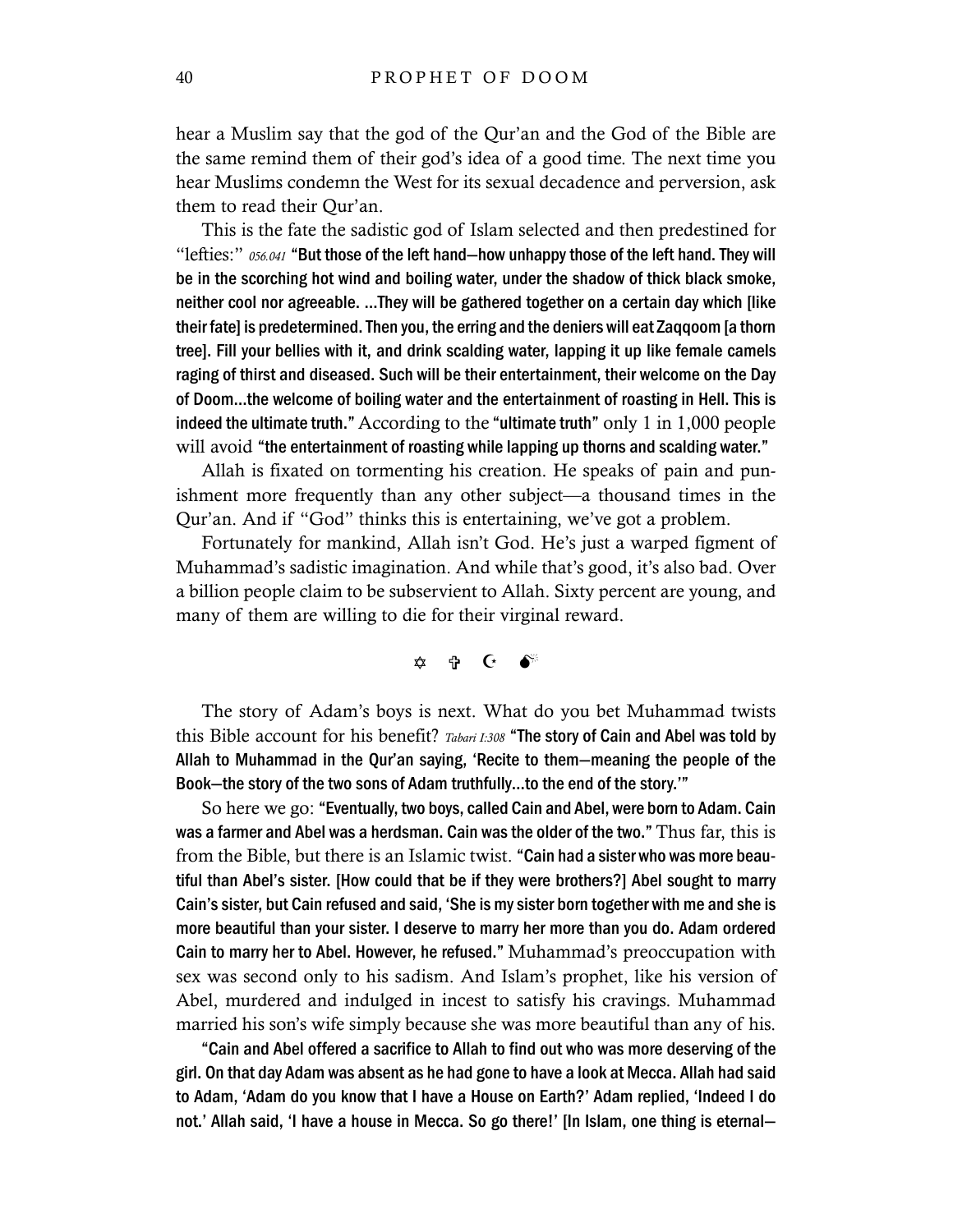hear a Muslim say that the god of the Qur'an and the God of the Bible are the same remind them of their god's idea of a good time. The next time you hear Muslims condemn the West for its sexual decadence and perversion, ask them to read their Qur'an.

This is the fate the sadistic god of Islam selected and then predestined for "lefties:" *056.041* "But those of the left hand—how unhappy those of the left hand. They will be in the scorching hot wind and boiling water, under the shadow of thick black smoke, neither cool nor agreeable. …They will be gathered together on a certain day which [like their fate] is predetermined. Then you, the erring and the deniers will eat Zaqqoom [a thorn tree]. Fill your bellies with it, and drink scalding water, lapping it up like female camels raging of thirst and diseased. Such will be their entertainment, their welcome on the Day of Doom…the welcome of boiling water and the entertainment of roasting in Hell. This is indeed the ultimate truth." According to the "ultimate truth" only 1 in 1,000 people will avoid "the entertainment of roasting while lapping up thorns and scalding water."

Allah is fixated on tormenting his creation. He speaks of pain and punishment more frequently than any other subject—a thousand times in the Qur'an. And if "God" thinks this is entertaining, we've got a problem.

Fortunately for mankind, Allah isn't God. He's just a warped figment of Muhammad's sadistic imagination. And while that's good, it's also bad. Over a billion people claim to be subservient to Allah. Sixty percent are young, and many of them are willing to die for their virginal reward.

 $\mathsf{G}$ 

The story of Adam's boys is next. What do you bet Muhammad twists this Bible account for his benefit? *Tabari I:308* "The story of Cain and Abel was told by Allah to Muhammad in the Qur'an saying, 'Recite to them—meaning the people of the Book—the story of the two sons of Adam truthfully…to the end of the story.'"

So here we go: "Eventually, two boys, called Cain and Abel, were born to Adam. Cain was a farmer and Abel was a herdsman. Cain was the older of the two." Thus far, this is from the Bible, but there is an Islamic twist. "Cain had a sister who was more beautiful than Abel's sister. [How could that be if they were brothers?] Abel sought to marry Cain's sister, but Cain refused and said, 'She is my sister born together with me and she is more beautiful than your sister. I deserve to marry her more than you do. Adam ordered Cain to marry her to Abel. However, he refused." Muhammad's preoccupation with sex was second only to his sadism. And Islam's prophet, like his version of Abel, murdered and indulged in incest to satisfy his cravings. Muhammad married his son's wife simply because she was more beautiful than any of his.

"Cain and Abel offered a sacrifice to Allah to find out who was more deserving of the girl. On that day Adam was absent as he had gone to have a look at Mecca. Allah had said to Adam, 'Adam do you know that I have a House on Earth?' Adam replied, 'Indeed I do not.' Allah said, 'I have a house in Mecca. So go there!' [In Islam, one thing is eternal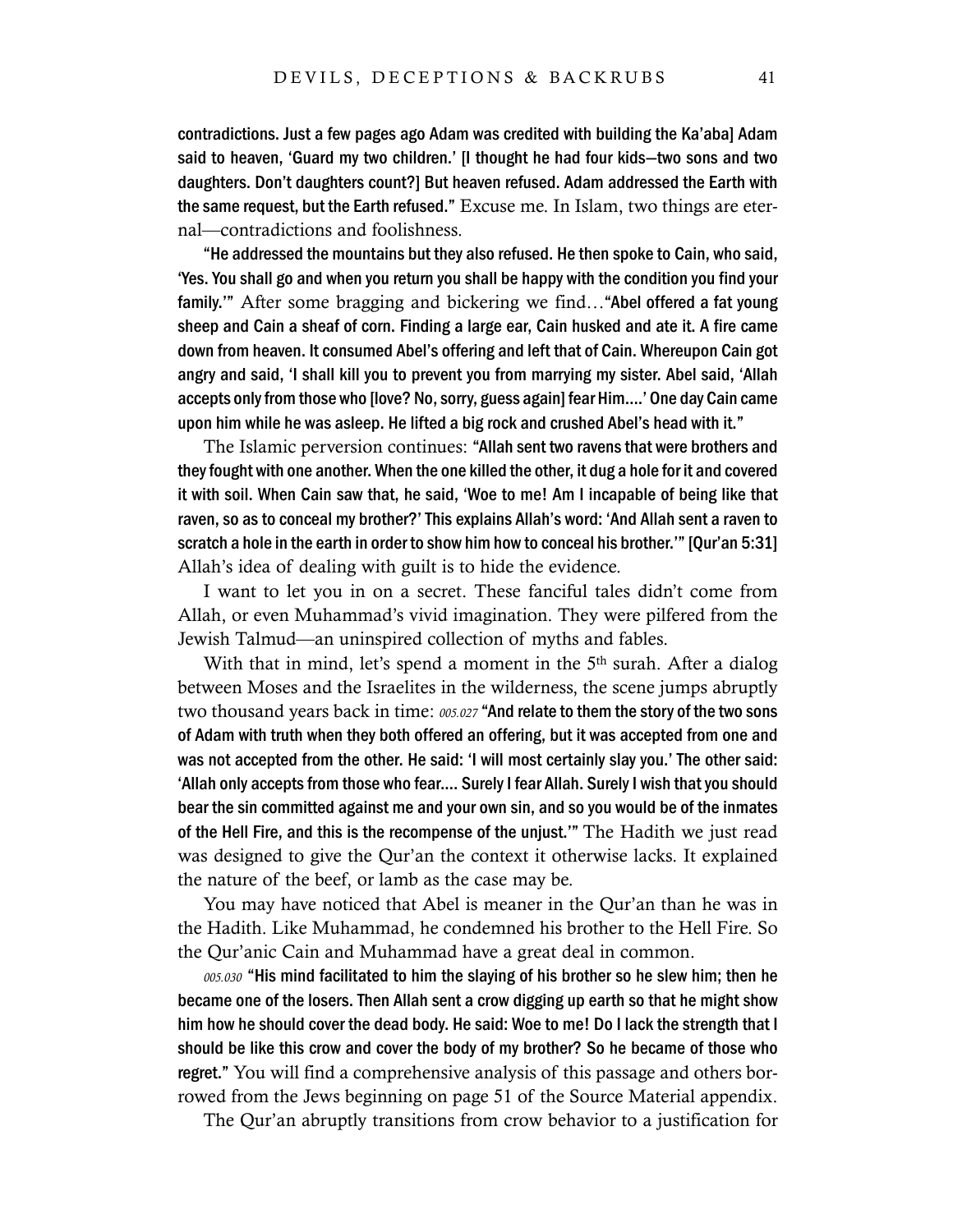contradictions. Just a few pages ago Adam was credited with building the Ka'aba] Adam said to heaven, 'Guard my two children.' [I thought he had four kids—two sons and two daughters. Don't daughters count?] But heaven refused. Adam addressed the Earth with the same request, but the Earth refused." Excuse me. In Islam, two things are eternal—contradictions and foolishness.

"He addressed the mountains but they also refused. He then spoke to Cain, who said, 'Yes. You shall go and when you return you shall be happy with the condition you find your family.'" After some bragging and bickering we find…"Abel offered a fat young sheep and Cain a sheaf of corn. Finding a large ear, Cain husked and ate it. A fire came down from heaven. It consumed Abel's offering and left that of Cain. Whereupon Cain got angry and said, 'I shall kill you to prevent you from marrying my sister. Abel said, 'Allah accepts only from those who [love? No, sorry, guess again] fear Him….' One day Cain came upon him while he was asleep. He lifted a big rock and crushed Abel's head with it."

The Islamic perversion continues: "Allah sent two ravens that were brothers and they fought with one another. When the one killed the other, it dug a hole for it and covered it with soil. When Cain saw that, he said, 'Woe to me! Am I incapable of being like that raven, so as to conceal my brother?' This explains Allah's word: 'And Allah sent a raven to scratch a hole in the earth in order to show him how to conceal his brother.'" [Qur'an 5:31] Allah's idea of dealing with guilt is to hide the evidence.

I want to let you in on a secret. These fanciful tales didn't come from Allah, or even Muhammad's vivid imagination. They were pilfered from the Jewish Talmud—an uninspired collection of myths and fables.

With that in mind, let's spend a moment in the 5<sup>th</sup> surah. After a dialog between Moses and the Israelites in the wilderness, the scene jumps abruptly two thousand years back in time: *005.027* "And relate to them the story of the two sons of Adam with truth when they both offered an offering, but it was accepted from one and was not accepted from the other. He said: 'I will most certainly slay you.' The other said: 'Allah only accepts from those who fear.… Surely I fear Allah. Surely I wish that you should bear the sin committed against me and your own sin, and so you would be of the inmates of the Hell Fire, and this is the recompense of the unjust.'" The Hadith we just read was designed to give the Qur'an the context it otherwise lacks. It explained the nature of the beef, or lamb as the case may be.

You may have noticed that Abel is meaner in the Qur'an than he was in the Hadith. Like Muhammad, he condemned his brother to the Hell Fire. So the Qur'anic Cain and Muhammad have a great deal in common.

*005.030* "His mind facilitated to him the slaying of his brother so he slew him; then he became one of the losers. Then Allah sent a crow digging up earth so that he might show him how he should cover the dead body. He said: Woe to me! Do I lack the strength that I should be like this crow and cover the body of my brother? So he became of those who regret." You will find a comprehensive analysis of this passage and others borrowed from the Jews beginning on page 51 of the Source Material appendix.

The Qur'an abruptly transitions from crow behavior to a justification for